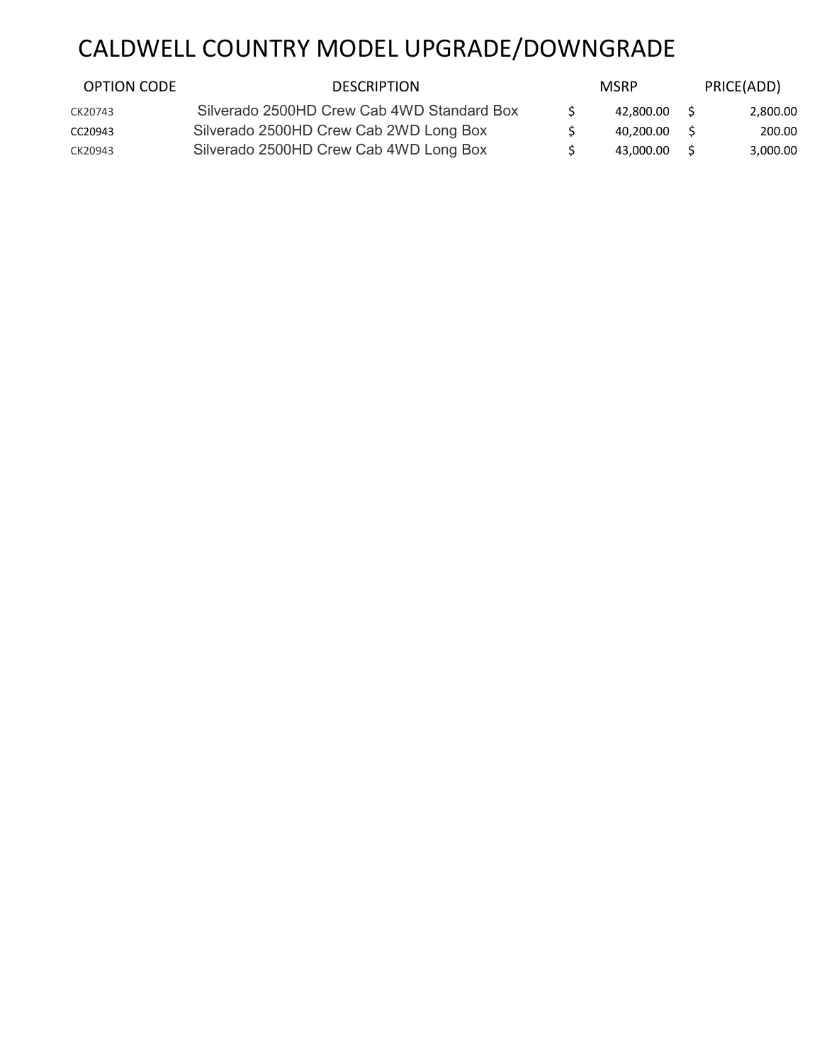## CALDWELL COUNTRY MODEL UPGRADE/DOWNGRADE

| <b>OPTION CODE</b> | <b>DESCRIPTION</b>                         | <b>MSRP</b> |    | PRICE(ADD) |
|--------------------|--------------------------------------------|-------------|----|------------|
| CK20743            | Silverado 2500HD Crew Cab 4WD Standard Box | 42.800.00   | S. | 2,800.00   |
| CC20943            | Silverado 2500HD Crew Cab 2WD Long Box     | 40.200.00   |    | 200.00     |
| CK20943            | Silverado 2500HD Crew Cab 4WD Long Box     | 43.000.00   |    | 3,000.00   |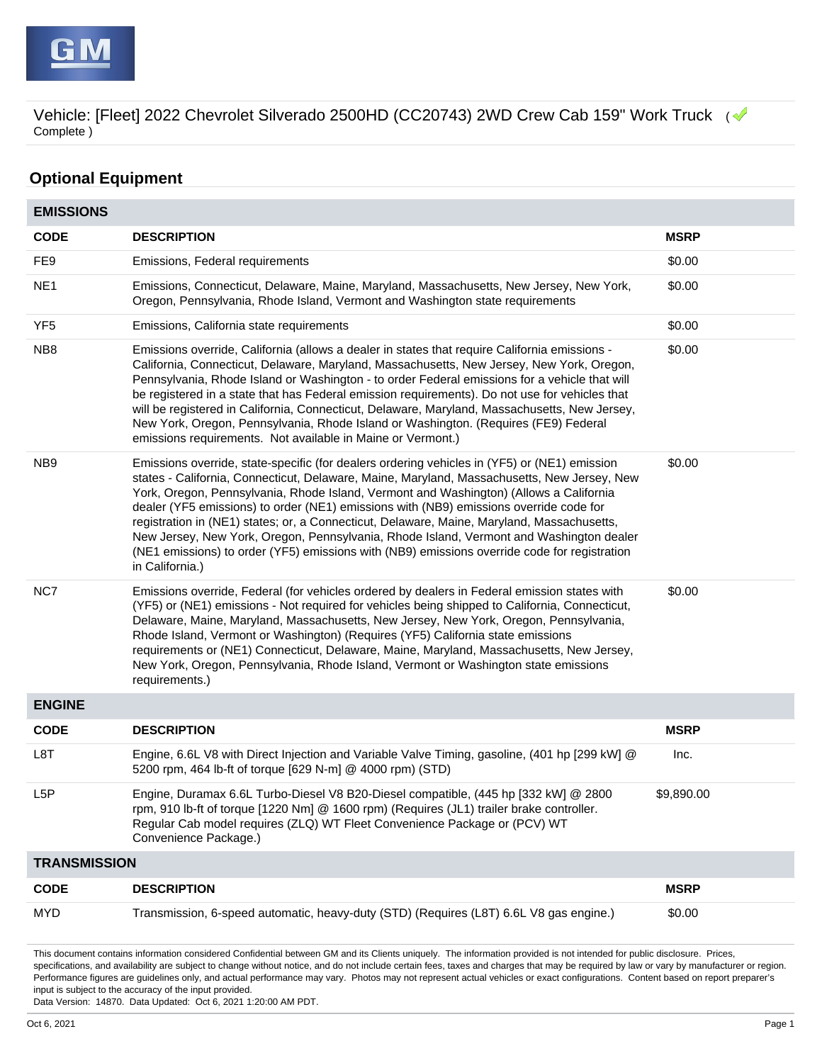

## **Optional Equipment**

| <b>EMISSIONS</b>    |                                                                                                                                                                                                                                                                                                                                                                                                                                                                                                                                                                                                                                                                                             |             |
|---------------------|---------------------------------------------------------------------------------------------------------------------------------------------------------------------------------------------------------------------------------------------------------------------------------------------------------------------------------------------------------------------------------------------------------------------------------------------------------------------------------------------------------------------------------------------------------------------------------------------------------------------------------------------------------------------------------------------|-------------|
| <b>CODE</b>         | <b>DESCRIPTION</b>                                                                                                                                                                                                                                                                                                                                                                                                                                                                                                                                                                                                                                                                          | <b>MSRP</b> |
| FE9                 | Emissions, Federal requirements                                                                                                                                                                                                                                                                                                                                                                                                                                                                                                                                                                                                                                                             | \$0.00      |
| NE <sub>1</sub>     | Emissions, Connecticut, Delaware, Maine, Maryland, Massachusetts, New Jersey, New York,<br>Oregon, Pennsylvania, Rhode Island, Vermont and Washington state requirements                                                                                                                                                                                                                                                                                                                                                                                                                                                                                                                    | \$0.00      |
| YF <sub>5</sub>     | Emissions, California state requirements                                                                                                                                                                                                                                                                                                                                                                                                                                                                                                                                                                                                                                                    | \$0.00      |
| NB <sub>8</sub>     | Emissions override, California (allows a dealer in states that require California emissions -<br>California, Connecticut, Delaware, Maryland, Massachusetts, New Jersey, New York, Oregon,<br>Pennsylvania, Rhode Island or Washington - to order Federal emissions for a vehicle that will<br>be registered in a state that has Federal emission requirements). Do not use for vehicles that<br>will be registered in California, Connecticut, Delaware, Maryland, Massachusetts, New Jersey,<br>New York, Oregon, Pennsylvania, Rhode Island or Washington. (Requires (FE9) Federal<br>emissions requirements. Not available in Maine or Vermont.)                                        | \$0.00      |
| NB9                 | Emissions override, state-specific (for dealers ordering vehicles in (YF5) or (NE1) emission<br>states - California, Connecticut, Delaware, Maine, Maryland, Massachusetts, New Jersey, New<br>York, Oregon, Pennsylvania, Rhode Island, Vermont and Washington) (Allows a California<br>dealer (YF5 emissions) to order (NE1) emissions with (NB9) emissions override code for<br>registration in (NE1) states; or, a Connecticut, Delaware, Maine, Maryland, Massachusetts,<br>New Jersey, New York, Oregon, Pennsylvania, Rhode Island, Vermont and Washington dealer<br>(NE1 emissions) to order (YF5) emissions with (NB9) emissions override code for registration<br>in California.) | \$0.00      |
| NC7                 | Emissions override, Federal (for vehicles ordered by dealers in Federal emission states with<br>(YF5) or (NE1) emissions - Not required for vehicles being shipped to California, Connecticut,<br>Delaware, Maine, Maryland, Massachusetts, New Jersey, New York, Oregon, Pennsylvania,<br>Rhode Island, Vermont or Washington) (Requires (YF5) California state emissions<br>requirements or (NE1) Connecticut, Delaware, Maine, Maryland, Massachusetts, New Jersey,<br>New York, Oregon, Pennsylvania, Rhode Island, Vermont or Washington state emissions<br>requirements.)                                                                                                             | \$0.00      |
| <b>ENGINE</b>       |                                                                                                                                                                                                                                                                                                                                                                                                                                                                                                                                                                                                                                                                                             |             |
| <b>CODE</b>         | <b>DESCRIPTION</b>                                                                                                                                                                                                                                                                                                                                                                                                                                                                                                                                                                                                                                                                          | <b>MSRP</b> |
| L8T                 | Engine, 6.6L V8 with Direct Injection and Variable Valve Timing, gasoline, (401 hp [299 kW] @<br>5200 rpm, 464 lb-ft of torque [629 N-m] @ 4000 rpm) (STD)                                                                                                                                                                                                                                                                                                                                                                                                                                                                                                                                  | Inc.        |
| L <sub>5</sub> P    | Engine, Duramax 6.6L Turbo-Diesel V8 B20-Diesel compatible, (445 hp [332 kW] @ 2800<br>rpm, 910 lb-ft of torque [1220 Nm] @ 1600 rpm) (Requires (JL1) trailer brake controller.<br>Regular Cab model requires (ZLQ) WT Fleet Convenience Package or (PCV) WT<br>Convenience Package.)                                                                                                                                                                                                                                                                                                                                                                                                       | \$9,890.00  |
| <b>TRANSMISSION</b> |                                                                                                                                                                                                                                                                                                                                                                                                                                                                                                                                                                                                                                                                                             |             |
| <b>CODE</b>         | <b>DESCRIPTION</b>                                                                                                                                                                                                                                                                                                                                                                                                                                                                                                                                                                                                                                                                          | <b>MSRP</b> |
| <b>MYD</b>          | Transmission, 6-speed automatic, heavy-duty (STD) (Requires (L8T) 6.6L V8 gas engine.)                                                                                                                                                                                                                                                                                                                                                                                                                                                                                                                                                                                                      | \$0.00      |

This document contains information considered Confidential between GM and its Clients uniquely. The information provided is not intended for public disclosure. Prices, specifications, and availability are subject to change without notice, and do not include certain fees, taxes and charges that may be required by law or vary by manufacturer or region. Performance figures are guidelines only, and actual performance may vary. Photos may not represent actual vehicles or exact configurations. Content based on report preparer's input is subject to the accuracy of the input provided.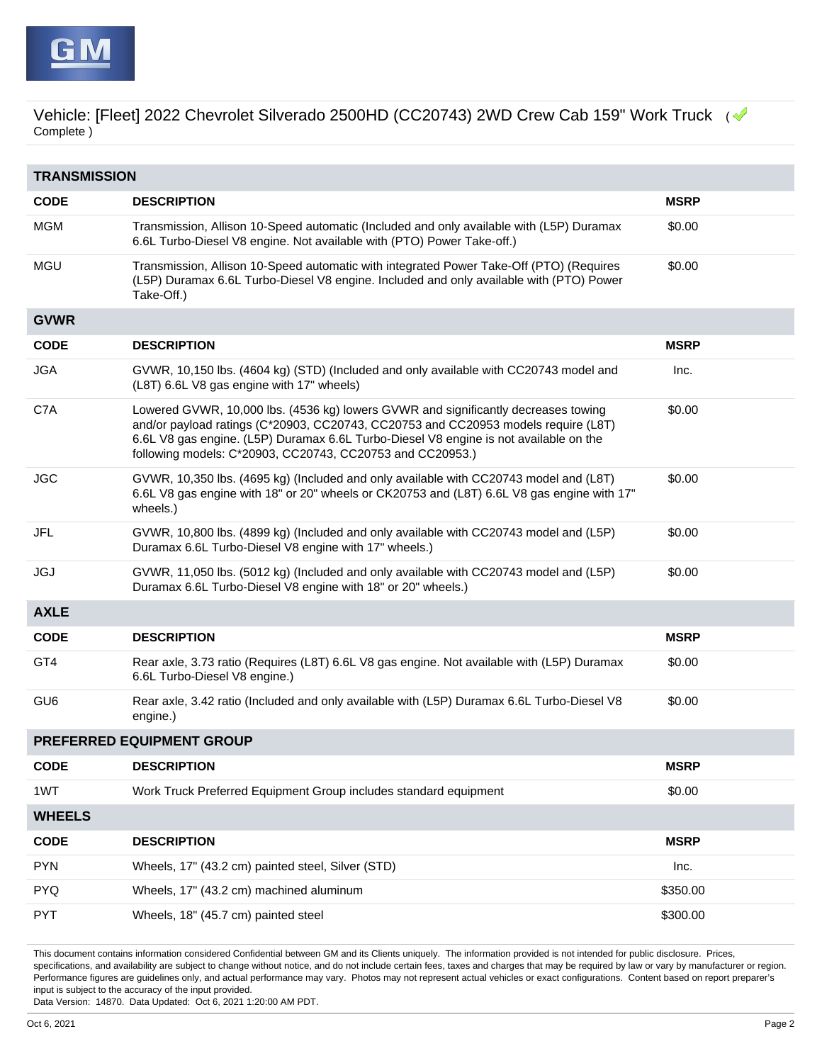

| <b>TRANSMISSION</b> |                                                                                                                                                                                                                                                                                                                                |             |  |  |
|---------------------|--------------------------------------------------------------------------------------------------------------------------------------------------------------------------------------------------------------------------------------------------------------------------------------------------------------------------------|-------------|--|--|
| <b>CODE</b>         | <b>DESCRIPTION</b>                                                                                                                                                                                                                                                                                                             | <b>MSRP</b> |  |  |
| <b>MGM</b>          | Transmission, Allison 10-Speed automatic (Included and only available with (L5P) Duramax<br>6.6L Turbo-Diesel V8 engine. Not available with (PTO) Power Take-off.)                                                                                                                                                             | \$0.00      |  |  |
| <b>MGU</b>          | Transmission, Allison 10-Speed automatic with integrated Power Take-Off (PTO) (Requires<br>(L5P) Duramax 6.6L Turbo-Diesel V8 engine. Included and only available with (PTO) Power<br>Take-Off.)                                                                                                                               | \$0.00      |  |  |
| <b>GVWR</b>         |                                                                                                                                                                                                                                                                                                                                |             |  |  |
| <b>CODE</b>         | <b>DESCRIPTION</b>                                                                                                                                                                                                                                                                                                             | <b>MSRP</b> |  |  |
| <b>JGA</b>          | GVWR, 10,150 lbs. (4604 kg) (STD) (Included and only available with CC20743 model and<br>(L8T) 6.6L V8 gas engine with 17" wheels)                                                                                                                                                                                             | Inc.        |  |  |
| C7A                 | Lowered GVWR, 10,000 lbs. (4536 kg) lowers GVWR and significantly decreases towing<br>and/or payload ratings (C*20903, CC20743, CC20753 and CC20953 models require (L8T)<br>6.6L V8 gas engine. (L5P) Duramax 6.6L Turbo-Diesel V8 engine is not available on the<br>following models: C*20903, CC20743, CC20753 and CC20953.) | \$0.00      |  |  |
| <b>JGC</b>          | GVWR, 10,350 lbs. (4695 kg) (Included and only available with CC20743 model and (L8T)<br>6.6L V8 gas engine with 18" or 20" wheels or CK20753 and (L8T) 6.6L V8 gas engine with 17"<br>wheels.)                                                                                                                                | \$0.00      |  |  |
| JFL                 | GVWR, 10,800 lbs. (4899 kg) (Included and only available with CC20743 model and (L5P)<br>Duramax 6.6L Turbo-Diesel V8 engine with 17" wheels.)                                                                                                                                                                                 | \$0.00      |  |  |
| JGJ                 | GVWR, 11,050 lbs. (5012 kg) (Included and only available with CC20743 model and (L5P)<br>Duramax 6.6L Turbo-Diesel V8 engine with 18" or 20" wheels.)                                                                                                                                                                          | \$0.00      |  |  |
| <b>AXLE</b>         |                                                                                                                                                                                                                                                                                                                                |             |  |  |
| <b>CODE</b>         | <b>DESCRIPTION</b>                                                                                                                                                                                                                                                                                                             | <b>MSRP</b> |  |  |
| GT4                 | Rear axle, 3.73 ratio (Requires (L8T) 6.6L V8 gas engine. Not available with (L5P) Duramax<br>6.6L Turbo-Diesel V8 engine.)                                                                                                                                                                                                    | \$0.00      |  |  |
| GU <sub>6</sub>     | Rear axle, 3.42 ratio (Included and only available with (L5P) Duramax 6.6L Turbo-Diesel V8<br>engine.)                                                                                                                                                                                                                         | \$0.00      |  |  |
|                     | PREFERRED EQUIPMENT GROUP                                                                                                                                                                                                                                                                                                      |             |  |  |
| <b>CODE</b>         | <b>DESCRIPTION</b>                                                                                                                                                                                                                                                                                                             | <b>MSRP</b> |  |  |
| 1WT                 | Work Truck Preferred Equipment Group includes standard equipment                                                                                                                                                                                                                                                               | \$0.00      |  |  |
| <b>WHEELS</b>       |                                                                                                                                                                                                                                                                                                                                |             |  |  |
| <b>CODE</b>         | <b>DESCRIPTION</b>                                                                                                                                                                                                                                                                                                             | <b>MSRP</b> |  |  |
| <b>PYN</b>          | Wheels, 17" (43.2 cm) painted steel, Silver (STD)                                                                                                                                                                                                                                                                              | Inc.        |  |  |
| <b>PYQ</b>          | Wheels, 17" (43.2 cm) machined aluminum                                                                                                                                                                                                                                                                                        | \$350.00    |  |  |
| <b>PYT</b>          | Wheels, 18" (45.7 cm) painted steel                                                                                                                                                                                                                                                                                            | \$300.00    |  |  |

This document contains information considered Confidential between GM and its Clients uniquely. The information provided is not intended for public disclosure. Prices, specifications, and availability are subject to change without notice, and do not include certain fees, taxes and charges that may be required by law or vary by manufacturer or region. Performance figures are guidelines only, and actual performance may vary. Photos may not represent actual vehicles or exact configurations. Content based on report preparer's input is subject to the accuracy of the input provided.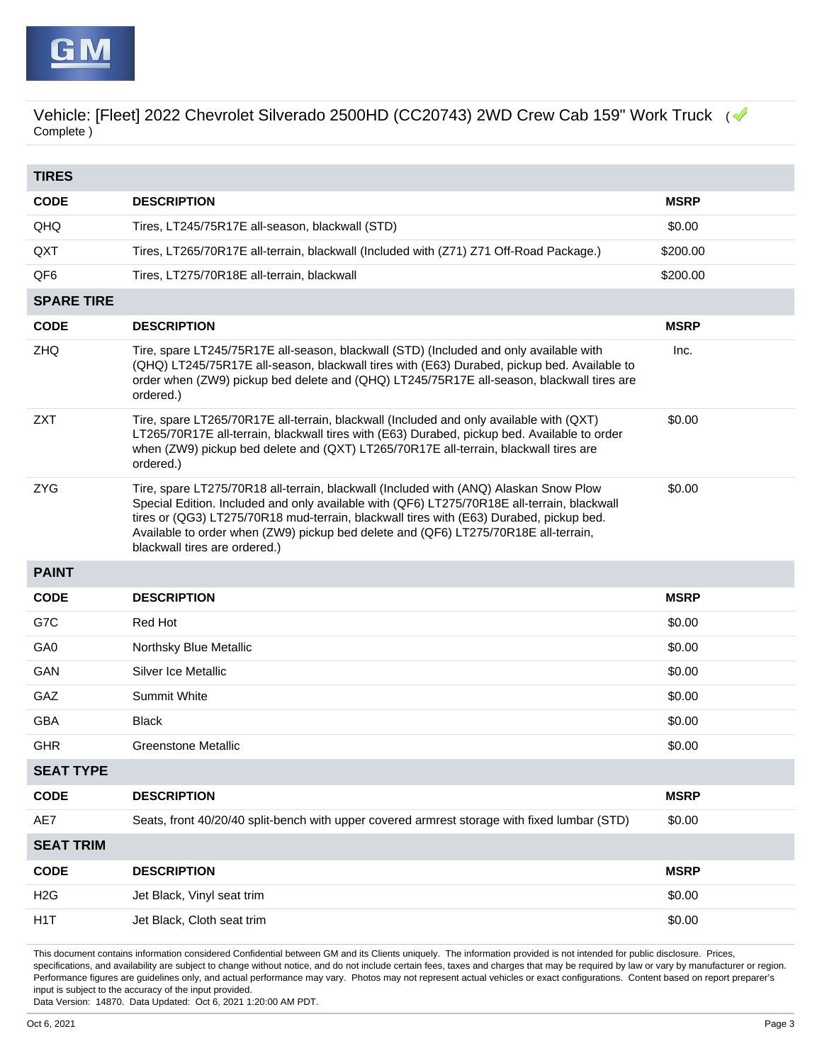

| <b>TIRES</b>      |                                                                                                                                                                                                                                                                                                                                                                                                         |             |
|-------------------|---------------------------------------------------------------------------------------------------------------------------------------------------------------------------------------------------------------------------------------------------------------------------------------------------------------------------------------------------------------------------------------------------------|-------------|
| <b>CODE</b>       | <b>DESCRIPTION</b>                                                                                                                                                                                                                                                                                                                                                                                      | <b>MSRP</b> |
| QHQ               | Tires, LT245/75R17E all-season, blackwall (STD)                                                                                                                                                                                                                                                                                                                                                         | \$0.00      |
| QXT               | Tires, LT265/70R17E all-terrain, blackwall (Included with (Z71) Z71 Off-Road Package.)                                                                                                                                                                                                                                                                                                                  | \$200.00    |
| QF <sub>6</sub>   | Tires, LT275/70R18E all-terrain, blackwall                                                                                                                                                                                                                                                                                                                                                              | \$200.00    |
| <b>SPARE TIRE</b> |                                                                                                                                                                                                                                                                                                                                                                                                         |             |
| <b>CODE</b>       | <b>DESCRIPTION</b>                                                                                                                                                                                                                                                                                                                                                                                      | <b>MSRP</b> |
| ZHQ               | Tire, spare LT245/75R17E all-season, blackwall (STD) (Included and only available with<br>(QHQ) LT245/75R17E all-season, blackwall tires with (E63) Durabed, pickup bed. Available to<br>order when (ZW9) pickup bed delete and (QHQ) LT245/75R17E all-season, blackwall tires are<br>ordered.)                                                                                                         | Inc.        |
| <b>ZXT</b>        | Tire, spare LT265/70R17E all-terrain, blackwall (Included and only available with (QXT)<br>LT265/70R17E all-terrain, blackwall tires with (E63) Durabed, pickup bed. Available to order<br>when (ZW9) pickup bed delete and (QXT) LT265/70R17E all-terrain, blackwall tires are<br>ordered.)                                                                                                            | \$0.00      |
| <b>ZYG</b>        | Tire, spare LT275/70R18 all-terrain, blackwall (Included with (ANQ) Alaskan Snow Plow<br>Special Edition. Included and only available with (QF6) LT275/70R18E all-terrain, blackwall<br>tires or (QG3) LT275/70R18 mud-terrain, blackwall tires with (E63) Durabed, pickup bed.<br>Available to order when (ZW9) pickup bed delete and (QF6) LT275/70R18E all-terrain,<br>blackwall tires are ordered.) | \$0.00      |
| <b>PAINT</b>      |                                                                                                                                                                                                                                                                                                                                                                                                         |             |
| <b>CODE</b>       | <b>DESCRIPTION</b>                                                                                                                                                                                                                                                                                                                                                                                      | <b>MSRP</b> |
| G7C               | <b>Red Hot</b>                                                                                                                                                                                                                                                                                                                                                                                          | \$0.00      |
| GA0               | Northsky Blue Metallic                                                                                                                                                                                                                                                                                                                                                                                  | \$0.00      |
| GAN               | Silver Ice Metallic                                                                                                                                                                                                                                                                                                                                                                                     | \$0.00      |
| GAZ               | <b>Summit White</b>                                                                                                                                                                                                                                                                                                                                                                                     | \$0.00      |
| <b>GBA</b>        | Black                                                                                                                                                                                                                                                                                                                                                                                                   | \$0.00      |
| <b>GHR</b>        | <b>Greenstone Metallic</b>                                                                                                                                                                                                                                                                                                                                                                              | \$0.00      |
| <b>SEAT TYPE</b>  |                                                                                                                                                                                                                                                                                                                                                                                                         |             |
| <b>CODE</b>       | <b>DESCRIPTION</b>                                                                                                                                                                                                                                                                                                                                                                                      | <b>MSRP</b> |
| AE7               | Seats, front 40/20/40 split-bench with upper covered armrest storage with fixed lumbar (STD)                                                                                                                                                                                                                                                                                                            | \$0.00      |
| <b>SEAT TRIM</b>  |                                                                                                                                                                                                                                                                                                                                                                                                         |             |
| <b>CODE</b>       | <b>DESCRIPTION</b>                                                                                                                                                                                                                                                                                                                                                                                      | <b>MSRP</b> |
| H <sub>2</sub> G  | Jet Black, Vinyl seat trim                                                                                                                                                                                                                                                                                                                                                                              | \$0.00      |
| H <sub>1</sub> T  | Jet Black, Cloth seat trim                                                                                                                                                                                                                                                                                                                                                                              | \$0.00      |

This document contains information considered Confidential between GM and its Clients uniquely. The information provided is not intended for public disclosure. Prices, specifications, and availability are subject to change without notice, and do not include certain fees, taxes and charges that may be required by law or vary by manufacturer or region. Performance figures are guidelines only, and actual performance may vary. Photos may not represent actual vehicles or exact configurations. Content based on report preparer's input is subject to the accuracy of the input provided.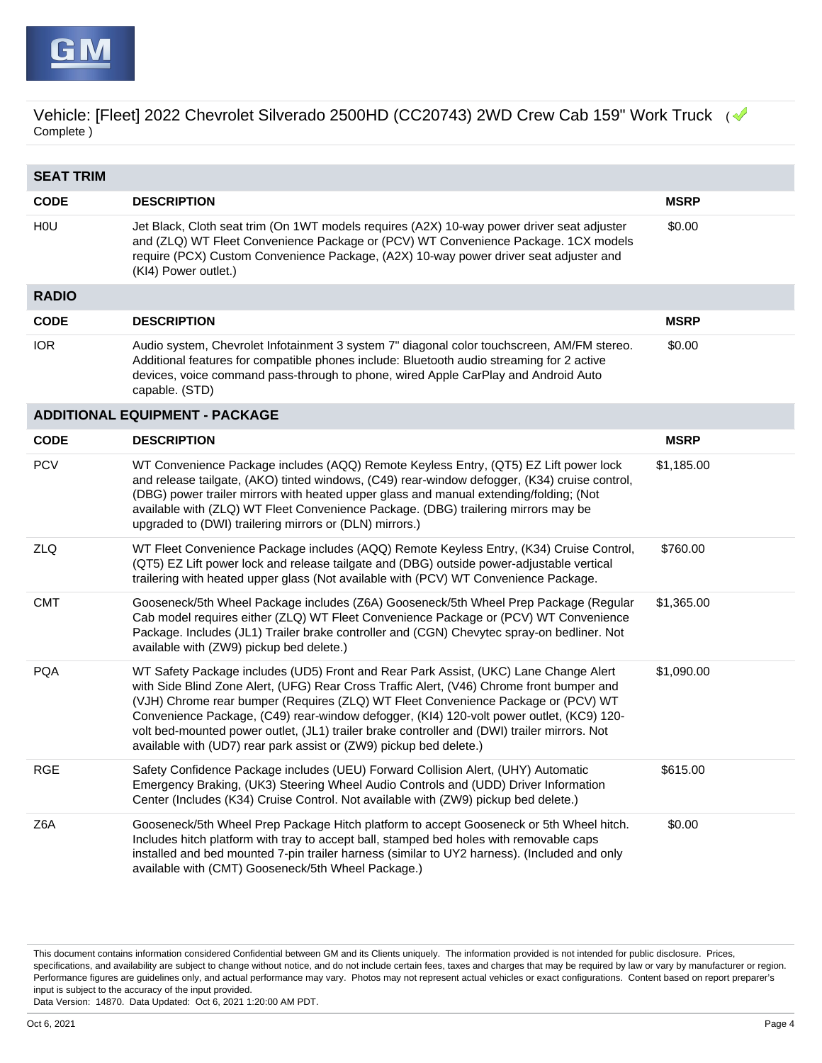

| <b>SEAT TRIM</b> |                                                                                                                                                                                                                                                                                                                                                                                                                                                                                                                                          |             |
|------------------|------------------------------------------------------------------------------------------------------------------------------------------------------------------------------------------------------------------------------------------------------------------------------------------------------------------------------------------------------------------------------------------------------------------------------------------------------------------------------------------------------------------------------------------|-------------|
| <b>CODE</b>      | <b>DESCRIPTION</b>                                                                                                                                                                                                                                                                                                                                                                                                                                                                                                                       | <b>MSRP</b> |
| H <sub>0</sub>   | Jet Black, Cloth seat trim (On 1WT models requires (A2X) 10-way power driver seat adjuster<br>and (ZLQ) WT Fleet Convenience Package or (PCV) WT Convenience Package. 1CX models<br>require (PCX) Custom Convenience Package, (A2X) 10-way power driver seat adjuster and<br>(KI4) Power outlet.)                                                                                                                                                                                                                                        | \$0.00      |
| <b>RADIO</b>     |                                                                                                                                                                                                                                                                                                                                                                                                                                                                                                                                          |             |
| <b>CODE</b>      | <b>DESCRIPTION</b>                                                                                                                                                                                                                                                                                                                                                                                                                                                                                                                       | <b>MSRP</b> |
| <b>IOR</b>       | Audio system, Chevrolet Infotainment 3 system 7" diagonal color touchscreen, AM/FM stereo.<br>Additional features for compatible phones include: Bluetooth audio streaming for 2 active<br>devices, voice command pass-through to phone, wired Apple CarPlay and Android Auto<br>capable. (STD)                                                                                                                                                                                                                                          | \$0.00      |
|                  | <b>ADDITIONAL EQUIPMENT - PACKAGE</b>                                                                                                                                                                                                                                                                                                                                                                                                                                                                                                    |             |
| <b>CODE</b>      | <b>DESCRIPTION</b>                                                                                                                                                                                                                                                                                                                                                                                                                                                                                                                       | <b>MSRP</b> |
| <b>PCV</b>       | WT Convenience Package includes (AQQ) Remote Keyless Entry, (QT5) EZ Lift power lock<br>and release tailgate, (AKO) tinted windows, (C49) rear-window defogger, (K34) cruise control,<br>(DBG) power trailer mirrors with heated upper glass and manual extending/folding; (Not<br>available with (ZLQ) WT Fleet Convenience Package. (DBG) trailering mirrors may be<br>upgraded to (DWI) trailering mirrors or (DLN) mirrors.)                                                                                                         | \$1,185.00  |
| ZLQ              | WT Fleet Convenience Package includes (AQQ) Remote Keyless Entry, (K34) Cruise Control,<br>(QT5) EZ Lift power lock and release tailgate and (DBG) outside power-adjustable vertical<br>trailering with heated upper glass (Not available with (PCV) WT Convenience Package.                                                                                                                                                                                                                                                             | \$760.00    |
| <b>CMT</b>       | Gooseneck/5th Wheel Package includes (Z6A) Gooseneck/5th Wheel Prep Package (Regular<br>Cab model requires either (ZLQ) WT Fleet Convenience Package or (PCV) WT Convenience<br>Package. Includes (JL1) Trailer brake controller and (CGN) Chevytec spray-on bedliner. Not<br>available with (ZW9) pickup bed delete.)                                                                                                                                                                                                                   | \$1,365.00  |
| <b>PQA</b>       | WT Safety Package includes (UD5) Front and Rear Park Assist, (UKC) Lane Change Alert<br>with Side Blind Zone Alert, (UFG) Rear Cross Traffic Alert, (V46) Chrome front bumper and<br>(VJH) Chrome rear bumper (Requires (ZLQ) WT Fleet Convenience Package or (PCV) WT<br>Convenience Package, (C49) rear-window defogger, (KI4) 120-volt power outlet, (KC9) 120-<br>volt bed-mounted power outlet, (JL1) trailer brake controller and (DWI) trailer mirrors. Not<br>available with (UD7) rear park assist or (ZW9) pickup bed delete.) | \$1,090.00  |
| <b>RGE</b>       | Safety Confidence Package includes (UEU) Forward Collision Alert, (UHY) Automatic<br>Emergency Braking, (UK3) Steering Wheel Audio Controls and (UDD) Driver Information<br>Center (Includes (K34) Cruise Control. Not available with (ZW9) pickup bed delete.)                                                                                                                                                                                                                                                                          | \$615.00    |
| Z6A              | Gooseneck/5th Wheel Prep Package Hitch platform to accept Gooseneck or 5th Wheel hitch.<br>Includes hitch platform with tray to accept ball, stamped bed holes with removable caps<br>installed and bed mounted 7-pin trailer harness (similar to UY2 harness). (Included and only<br>available with (CMT) Gooseneck/5th Wheel Package.)                                                                                                                                                                                                 | \$0.00      |

This document contains information considered Confidential between GM and its Clients uniquely. The information provided is not intended for public disclosure. Prices, specifications, and availability are subject to change without notice, and do not include certain fees, taxes and charges that may be required by law or vary by manufacturer or region. Performance figures are guidelines only, and actual performance may vary. Photos may not represent actual vehicles or exact configurations. Content based on report preparer's input is subject to the accuracy of the input provided.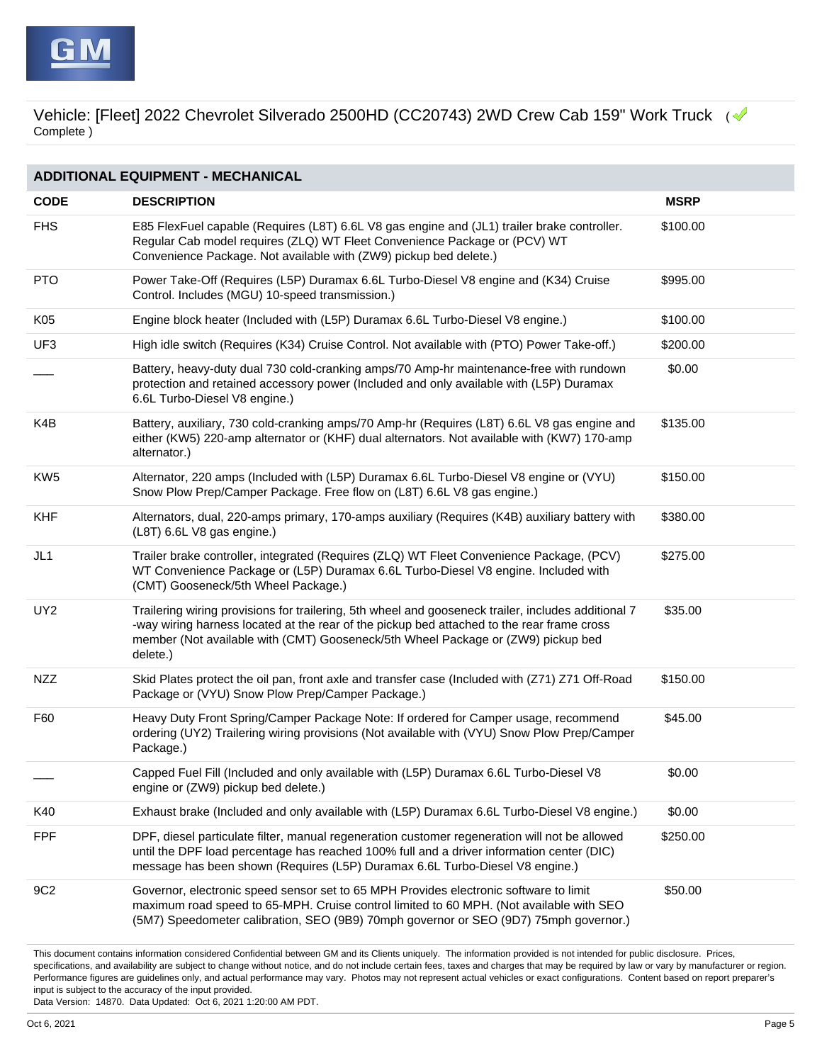

## **ADDITIONAL EQUIPMENT - MECHANICAL CODE DESCRIPTION MSRP** FHS E85 FlexFuel capable (Requires (L8T) 6.6L V8 gas engine and (JL1) trailer brake controller. Regular Cab model requires (ZLQ) WT Fleet Convenience Package or (PCV) WT Convenience Package. Not available with (ZW9) pickup bed delete.) \$100.00 PTO Power Take-Off (Requires (L5P) Duramax 6.6L Turbo-Diesel V8 engine and (K34) Cruise Control. Includes (MGU) 10-speed transmission.) \$995.00 K05 Engine block heater (Included with (L5P) Duramax 6.6L Turbo-Diesel V8 engine.) \$100.00 UF3 High idle switch (Requires (K34) Cruise Control. Not available with (PTO) Power Take-off.) \$200.00 Battery, heavy-duty dual 730 cold-cranking amps/70 Amp-hr maintenance-free with rundown protection and retained accessory power (Included and only available with (L5P) Duramax 6.6L Turbo-Diesel V8 engine.) \$0.00 K4B Battery, auxiliary, 730 cold-cranking amps/70 Amp-hr (Requires (L8T) 6.6L V8 gas engine and either (KW5) 220-amp alternator or (KHF) dual alternators. Not available with (KW7) 170-amp alternator.) \$135.00 KW5 Alternator, 220 amps (Included with (L5P) Duramax 6.6L Turbo-Diesel V8 engine or (VYU) Snow Plow Prep/Camper Package. Free flow on (L8T) 6.6L V8 gas engine.) \$150.00 KHF Alternators, dual, 220-amps primary, 170-amps auxiliary (Requires (K4B) auxiliary battery with (L8T) 6.6L V8 gas engine.) \$380.00 JL1 Trailer brake controller, integrated (Requires (ZLQ) WT Fleet Convenience Package, (PCV) WT Convenience Package or (L5P) Duramax 6.6L Turbo-Diesel V8 engine. Included with (CMT) Gooseneck/5th Wheel Package.) \$275.00 UY2 Trailering wiring provisions for trailering, 5th wheel and gooseneck trailer, includes additional 7 -way wiring harness located at the rear of the pickup bed attached to the rear frame cross member (Not available with (CMT) Gooseneck/5th Wheel Package or (ZW9) pickup bed delete.) \$35.00 NZZ Skid Plates protect the oil pan, front axle and transfer case (Included with (Z71) Z71 Off-Road Package or (VYU) Snow Plow Prep/Camper Package.) \$150.00 F60 Heavy Duty Front Spring/Camper Package Note: If ordered for Camper usage, recommend ordering (UY2) Trailering wiring provisions (Not available with (VYU) Snow Plow Prep/Camper Package.) \$45.00 \_\_\_ Capped Fuel Fill (Included and only available with (L5P) Duramax 6.6L Turbo-Diesel V8 engine or (ZW9) pickup bed delete.) \$0.00 K40 Exhaust brake (Included and only available with (L5P) Duramax 6.6L Turbo-Diesel V8 engine.) \$0.00 FPF DPF, diesel particulate filter, manual regeneration customer regeneration will not be allowed until the DPF load percentage has reached 100% full and a driver information center (DIC) message has been shown (Requires (L5P) Duramax 6.6L Turbo-Diesel V8 engine.) \$250.00 9C2 Governor, electronic speed sensor set to 65 MPH Provides electronic software to limit maximum road speed to 65-MPH. Cruise control limited to 60 MPH. (Not available with SEO (5M7) Speedometer calibration, SEO (9B9) 70mph governor or SEO (9D7) 75mph governor.) \$50.00

This document contains information considered Confidential between GM and its Clients uniquely. The information provided is not intended for public disclosure. Prices, specifications, and availability are subject to change without notice, and do not include certain fees, taxes and charges that may be required by law or vary by manufacturer or region. Performance figures are guidelines only, and actual performance may vary. Photos may not represent actual vehicles or exact configurations. Content based on report preparer's input is subject to the accuracy of the input provided.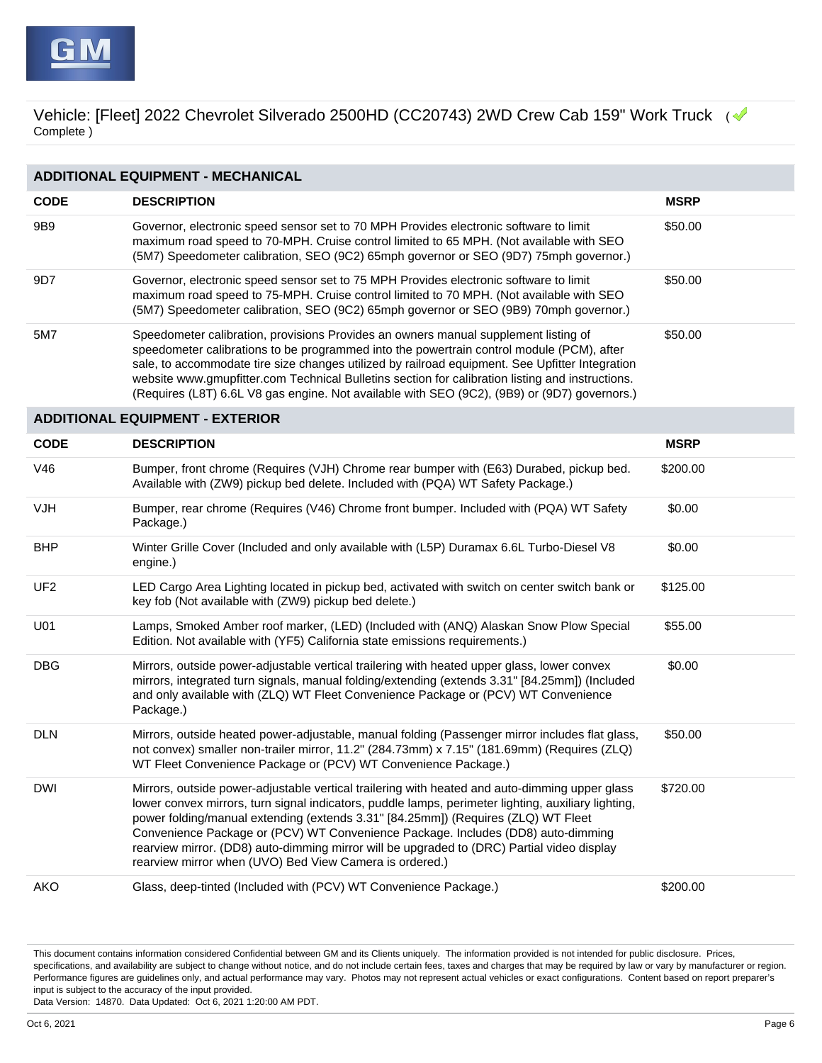

| <b>ADDITIONAL EQUIPMENT - MECHANICAL</b> |                                                                                                                                                                                                                                                                                                                                                                                                                                                                                                                                         |             |  |  |
|------------------------------------------|-----------------------------------------------------------------------------------------------------------------------------------------------------------------------------------------------------------------------------------------------------------------------------------------------------------------------------------------------------------------------------------------------------------------------------------------------------------------------------------------------------------------------------------------|-------------|--|--|
| <b>CODE</b>                              | <b>DESCRIPTION</b>                                                                                                                                                                                                                                                                                                                                                                                                                                                                                                                      | <b>MSRP</b> |  |  |
| 9B9                                      | Governor, electronic speed sensor set to 70 MPH Provides electronic software to limit<br>maximum road speed to 70-MPH. Cruise control limited to 65 MPH. (Not available with SEO<br>(5M7) Speedometer calibration, SEO (9C2) 65mph governor or SEO (9D7) 75mph governor.)                                                                                                                                                                                                                                                               | \$50.00     |  |  |
| 9D7                                      | Governor, electronic speed sensor set to 75 MPH Provides electronic software to limit<br>maximum road speed to 75-MPH. Cruise control limited to 70 MPH. (Not available with SEO<br>(5M7) Speedometer calibration, SEO (9C2) 65mph governor or SEO (9B9) 70mph governor.)                                                                                                                                                                                                                                                               | \$50.00     |  |  |
| 5M7                                      | Speedometer calibration, provisions Provides an owners manual supplement listing of<br>speedometer calibrations to be programmed into the powertrain control module (PCM), after<br>sale, to accommodate tire size changes utilized by railroad equipment. See Upfitter Integration<br>website www.gmupfitter.com Technical Bulletins section for calibration listing and instructions.<br>(Requires (L8T) 6.6L V8 gas engine. Not available with SEO (9C2), (9B9) or (9D7) governors.)                                                 | \$50.00     |  |  |
|                                          | <b>ADDITIONAL EQUIPMENT - EXTERIOR</b>                                                                                                                                                                                                                                                                                                                                                                                                                                                                                                  |             |  |  |
| <b>CODE</b>                              | <b>DESCRIPTION</b>                                                                                                                                                                                                                                                                                                                                                                                                                                                                                                                      | <b>MSRP</b> |  |  |
| V46                                      | Bumper, front chrome (Requires (VJH) Chrome rear bumper with (E63) Durabed, pickup bed.<br>Available with (ZW9) pickup bed delete. Included with (PQA) WT Safety Package.)                                                                                                                                                                                                                                                                                                                                                              | \$200.00    |  |  |
| <b>VJH</b>                               | Bumper, rear chrome (Requires (V46) Chrome front bumper. Included with (PQA) WT Safety<br>Package.)                                                                                                                                                                                                                                                                                                                                                                                                                                     | \$0.00      |  |  |
| <b>BHP</b>                               | Winter Grille Cover (Included and only available with (L5P) Duramax 6.6L Turbo-Diesel V8<br>engine.)                                                                                                                                                                                                                                                                                                                                                                                                                                    | \$0.00      |  |  |
| UF <sub>2</sub>                          | LED Cargo Area Lighting located in pickup bed, activated with switch on center switch bank or<br>key fob (Not available with (ZW9) pickup bed delete.)                                                                                                                                                                                                                                                                                                                                                                                  | \$125.00    |  |  |
| U01                                      | Lamps, Smoked Amber roof marker, (LED) (Included with (ANQ) Alaskan Snow Plow Special<br>Edition. Not available with (YF5) California state emissions requirements.)                                                                                                                                                                                                                                                                                                                                                                    | \$55.00     |  |  |
| <b>DBG</b>                               | Mirrors, outside power-adjustable vertical trailering with heated upper glass, lower convex<br>mirrors, integrated turn signals, manual folding/extending (extends 3.31" [84.25mm]) (Included<br>and only available with (ZLQ) WT Fleet Convenience Package or (PCV) WT Convenience<br>Package.)                                                                                                                                                                                                                                        | \$0.00      |  |  |
| <b>DLN</b>                               | Mirrors, outside heated power-adjustable, manual folding (Passenger mirror includes flat glass,<br>not convex) smaller non-trailer mirror, 11.2" (284.73mm) x 7.15" (181.69mm) (Requires (ZLQ)<br>WT Fleet Convenience Package or (PCV) WT Convenience Package.)                                                                                                                                                                                                                                                                        | \$50.00     |  |  |
| <b>DWI</b>                               | Mirrors, outside power-adjustable vertical trailering with heated and auto-dimming upper glass<br>lower convex mirrors, turn signal indicators, puddle lamps, perimeter lighting, auxiliary lighting,<br>power folding/manual extending (extends 3.31" [84.25mm]) (Requires (ZLQ) WT Fleet<br>Convenience Package or (PCV) WT Convenience Package. Includes (DD8) auto-dimming<br>rearview mirror. (DD8) auto-dimming mirror will be upgraded to (DRC) Partial video display<br>rearview mirror when (UVO) Bed View Camera is ordered.) | \$720.00    |  |  |
| <b>AKO</b>                               | Glass, deep-tinted (Included with (PCV) WT Convenience Package.)                                                                                                                                                                                                                                                                                                                                                                                                                                                                        | \$200.00    |  |  |

This document contains information considered Confidential between GM and its Clients uniquely. The information provided is not intended for public disclosure. Prices, specifications, and availability are subject to change without notice, and do not include certain fees, taxes and charges that may be required by law or vary by manufacturer or region. Performance figures are guidelines only, and actual performance may vary. Photos may not represent actual vehicles or exact configurations. Content based on report preparer's input is subject to the accuracy of the input provided.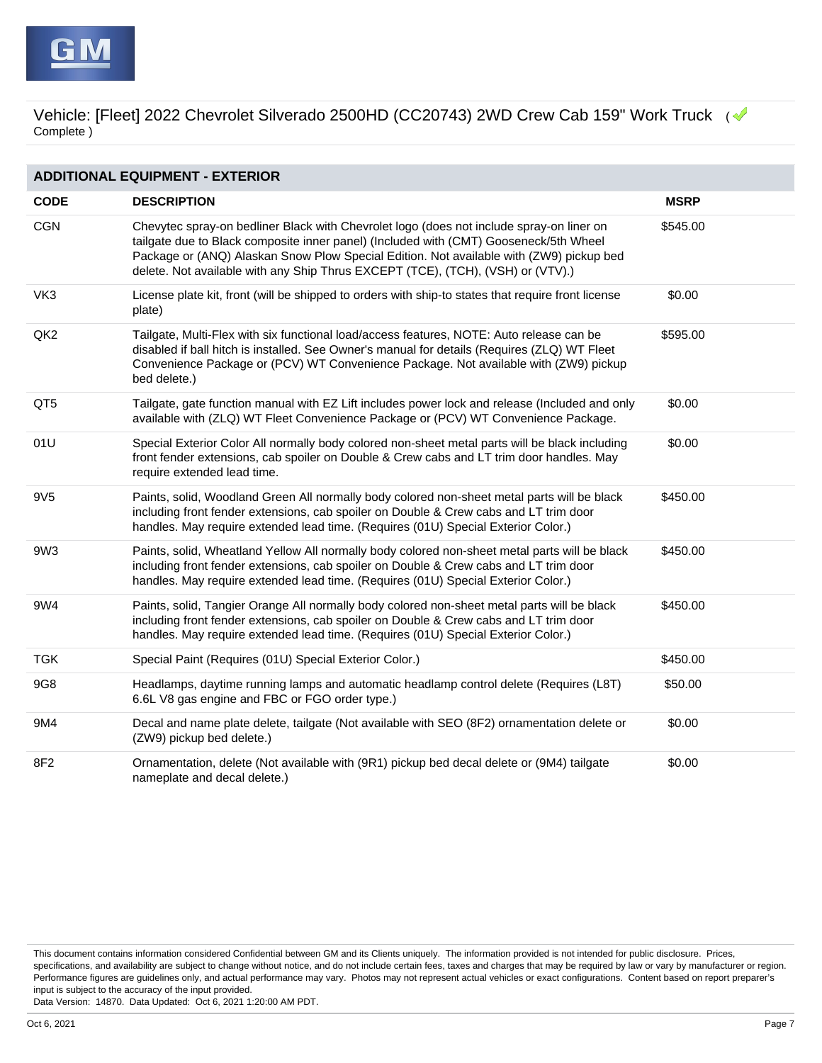

| <b>ADDITIONAL EQUIPMENT - EXTERIOR</b> |                                                                                                                                                                                                                                                                                                                                                                 |             |  |  |
|----------------------------------------|-----------------------------------------------------------------------------------------------------------------------------------------------------------------------------------------------------------------------------------------------------------------------------------------------------------------------------------------------------------------|-------------|--|--|
| <b>CODE</b>                            | <b>DESCRIPTION</b>                                                                                                                                                                                                                                                                                                                                              | <b>MSRP</b> |  |  |
| <b>CGN</b>                             | Chevytec spray-on bedliner Black with Chevrolet logo (does not include spray-on liner on<br>tailgate due to Black composite inner panel) (Included with (CMT) Gooseneck/5th Wheel<br>Package or (ANQ) Alaskan Snow Plow Special Edition. Not available with (ZW9) pickup bed<br>delete. Not available with any Ship Thrus EXCEPT (TCE), (TCH), (VSH) or (VTV).) | \$545.00    |  |  |
| VK3                                    | License plate kit, front (will be shipped to orders with ship-to states that require front license<br>plate)                                                                                                                                                                                                                                                    | \$0.00      |  |  |
| QK <sub>2</sub>                        | Tailgate, Multi-Flex with six functional load/access features, NOTE: Auto release can be<br>disabled if ball hitch is installed. See Owner's manual for details (Requires (ZLQ) WT Fleet<br>Convenience Package or (PCV) WT Convenience Package. Not available with (ZW9) pickup<br>bed delete.)                                                                | \$595.00    |  |  |
| QT5                                    | Tailgate, gate function manual with EZ Lift includes power lock and release (Included and only<br>available with (ZLQ) WT Fleet Convenience Package or (PCV) WT Convenience Package.                                                                                                                                                                            | \$0.00      |  |  |
| 01U                                    | Special Exterior Color All normally body colored non-sheet metal parts will be black including<br>front fender extensions, cab spoiler on Double & Crew cabs and LT trim door handles. May<br>require extended lead time.                                                                                                                                       | \$0.00      |  |  |
| 9V <sub>5</sub>                        | Paints, solid, Woodland Green All normally body colored non-sheet metal parts will be black<br>including front fender extensions, cab spoiler on Double & Crew cabs and LT trim door<br>handles. May require extended lead time. (Requires (01U) Special Exterior Color.)                                                                                       | \$450.00    |  |  |
| 9W3                                    | Paints, solid, Wheatland Yellow All normally body colored non-sheet metal parts will be black<br>including front fender extensions, cab spoiler on Double & Crew cabs and LT trim door<br>handles. May require extended lead time. (Requires (01U) Special Exterior Color.)                                                                                     | \$450.00    |  |  |
| 9W4                                    | Paints, solid, Tangier Orange All normally body colored non-sheet metal parts will be black<br>including front fender extensions, cab spoiler on Double & Crew cabs and LT trim door<br>handles. May require extended lead time. (Requires (01U) Special Exterior Color.)                                                                                       | \$450.00    |  |  |
| <b>TGK</b>                             | Special Paint (Requires (01U) Special Exterior Color.)                                                                                                                                                                                                                                                                                                          | \$450.00    |  |  |
| 9G8                                    | Headlamps, daytime running lamps and automatic headlamp control delete (Requires (L8T)<br>6.6L V8 gas engine and FBC or FGO order type.)                                                                                                                                                                                                                        | \$50.00     |  |  |
| 9M4                                    | Decal and name plate delete, tailgate (Not available with SEO (8F2) ornamentation delete or<br>(ZW9) pickup bed delete.)                                                                                                                                                                                                                                        | \$0.00      |  |  |
| 8F2                                    | Ornamentation, delete (Not available with (9R1) pickup bed decal delete or (9M4) tailgate<br>nameplate and decal delete.)                                                                                                                                                                                                                                       | \$0.00      |  |  |

This document contains information considered Confidential between GM and its Clients uniquely. The information provided is not intended for public disclosure. Prices, specifications, and availability are subject to change without notice, and do not include certain fees, taxes and charges that may be required by law or vary by manufacturer or region. Performance figures are guidelines only, and actual performance may vary. Photos may not represent actual vehicles or exact configurations. Content based on report preparer's input is subject to the accuracy of the input provided.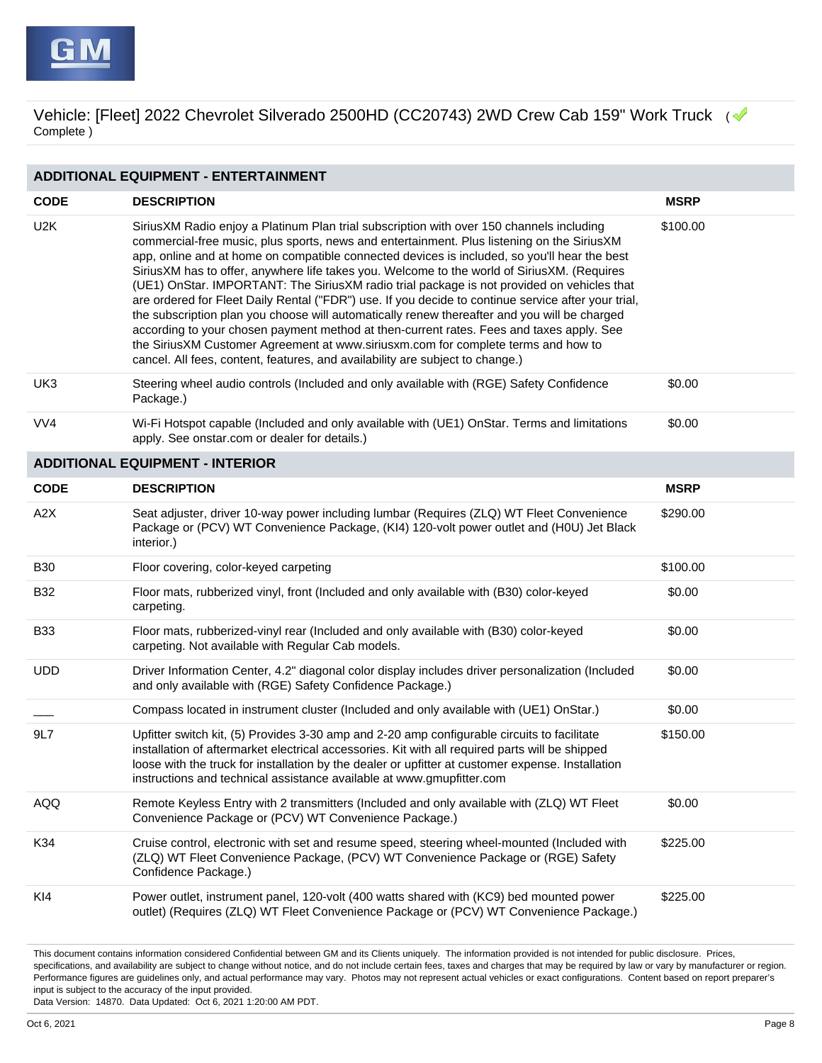

## **ADDITIONAL EQUIPMENT - ENTERTAINMENT**

| <b>CODE</b>      | <b>DESCRIPTION</b>                                                                                                                                                                                                                                                                                                                                                                                                                                                                                                                                                                                                                                                                                                                                                                                                                                                                                                                                           | <b>MSRP</b> |
|------------------|--------------------------------------------------------------------------------------------------------------------------------------------------------------------------------------------------------------------------------------------------------------------------------------------------------------------------------------------------------------------------------------------------------------------------------------------------------------------------------------------------------------------------------------------------------------------------------------------------------------------------------------------------------------------------------------------------------------------------------------------------------------------------------------------------------------------------------------------------------------------------------------------------------------------------------------------------------------|-------------|
| U <sub>2</sub> K | SiriusXM Radio enjoy a Platinum Plan trial subscription with over 150 channels including<br>commercial-free music, plus sports, news and entertainment. Plus listening on the SiriusXM<br>app, online and at home on compatible connected devices is included, so you'll hear the best<br>SiriusXM has to offer, anywhere life takes you. Welcome to the world of SiriusXM. (Requires<br>(UE1) OnStar. IMPORTANT: The SiriusXM radio trial package is not provided on vehicles that<br>are ordered for Fleet Daily Rental ("FDR") use. If you decide to continue service after your trial,<br>the subscription plan you choose will automatically renew thereafter and you will be charged<br>according to your chosen payment method at then-current rates. Fees and taxes apply. See<br>the SiriusXM Customer Agreement at www.siriusxm.com for complete terms and how to<br>cancel. All fees, content, features, and availability are subject to change.) | \$100.00    |
| UK3              | Steering wheel audio controls (Included and only available with (RGE) Safety Confidence<br>Package.)                                                                                                                                                                                                                                                                                                                                                                                                                                                                                                                                                                                                                                                                                                                                                                                                                                                         | \$0.00      |
| VV4              | Wi-Fi Hotspot capable (Included and only available with (UE1) OnStar. Terms and limitations<br>apply. See onstar.com or dealer for details.)                                                                                                                                                                                                                                                                                                                                                                                                                                                                                                                                                                                                                                                                                                                                                                                                                 | \$0.00      |
|                  | <b>ADDITIONAL EQUIPMENT - INTERIOR</b>                                                                                                                                                                                                                                                                                                                                                                                                                                                                                                                                                                                                                                                                                                                                                                                                                                                                                                                       |             |
| <b>CODE</b>      | <b>DESCRIPTION</b>                                                                                                                                                                                                                                                                                                                                                                                                                                                                                                                                                                                                                                                                                                                                                                                                                                                                                                                                           | <b>MSRP</b> |
| A <sub>2</sub> X | Seat adjuster, driver 10-way power including lumbar (Requires (ZLQ) WT Fleet Convenience<br>Package or (PCV) WT Convenience Package, (KI4) 120-volt power outlet and (H0U) Jet Black<br>interior.)                                                                                                                                                                                                                                                                                                                                                                                                                                                                                                                                                                                                                                                                                                                                                           | \$290.00    |
| <b>B30</b>       | Floor covering, color-keyed carpeting                                                                                                                                                                                                                                                                                                                                                                                                                                                                                                                                                                                                                                                                                                                                                                                                                                                                                                                        | \$100.00    |
| <b>B32</b>       | Floor mats, rubberized vinyl, front (Included and only available with (B30) color-keyed<br>carpeting.                                                                                                                                                                                                                                                                                                                                                                                                                                                                                                                                                                                                                                                                                                                                                                                                                                                        | \$0.00      |
| <b>B33</b>       | Floor mats, rubberized-vinyl rear (Included and only available with (B30) color-keyed<br>carpeting. Not available with Regular Cab models.                                                                                                                                                                                                                                                                                                                                                                                                                                                                                                                                                                                                                                                                                                                                                                                                                   | \$0.00      |
| <b>UDD</b>       | Driver Information Center, 4.2" diagonal color display includes driver personalization (Included<br>and only available with (RGE) Safety Confidence Package.)                                                                                                                                                                                                                                                                                                                                                                                                                                                                                                                                                                                                                                                                                                                                                                                                | \$0.00      |
|                  | Compass located in instrument cluster (Included and only available with (UE1) OnStar.)                                                                                                                                                                                                                                                                                                                                                                                                                                                                                                                                                                                                                                                                                                                                                                                                                                                                       | \$0.00      |
| 9L7              | Upfitter switch kit, (5) Provides 3-30 amp and 2-20 amp configurable circuits to facilitate<br>installation of aftermarket electrical accessories. Kit with all required parts will be shipped<br>loose with the truck for installation by the dealer or upfitter at customer expense. Installation<br>instructions and technical assistance available at www.gmupfitter.com                                                                                                                                                                                                                                                                                                                                                                                                                                                                                                                                                                                 | \$150.00    |
| AQQ              | Remote Keyless Entry with 2 transmitters (Included and only available with (ZLQ) WT Fleet<br>Convenience Package or (PCV) WT Convenience Package.)                                                                                                                                                                                                                                                                                                                                                                                                                                                                                                                                                                                                                                                                                                                                                                                                           | \$0.00      |
| K34              | Cruise control, electronic with set and resume speed, steering wheel-mounted (Included with<br>(ZLQ) WT Fleet Convenience Package, (PCV) WT Convenience Package or (RGE) Safety<br>Confidence Package.)                                                                                                                                                                                                                                                                                                                                                                                                                                                                                                                                                                                                                                                                                                                                                      | \$225.00    |
| KI4              | Power outlet, instrument panel, 120-volt (400 watts shared with (KC9) bed mounted power<br>outlet) (Requires (ZLQ) WT Fleet Convenience Package or (PCV) WT Convenience Package.)                                                                                                                                                                                                                                                                                                                                                                                                                                                                                                                                                                                                                                                                                                                                                                            | \$225.00    |

This document contains information considered Confidential between GM and its Clients uniquely. The information provided is not intended for public disclosure. Prices, specifications, and availability are subject to change without notice, and do not include certain fees, taxes and charges that may be required by law or vary by manufacturer or region. Performance figures are guidelines only, and actual performance may vary. Photos may not represent actual vehicles or exact configurations. Content based on report preparer's input is subject to the accuracy of the input provided.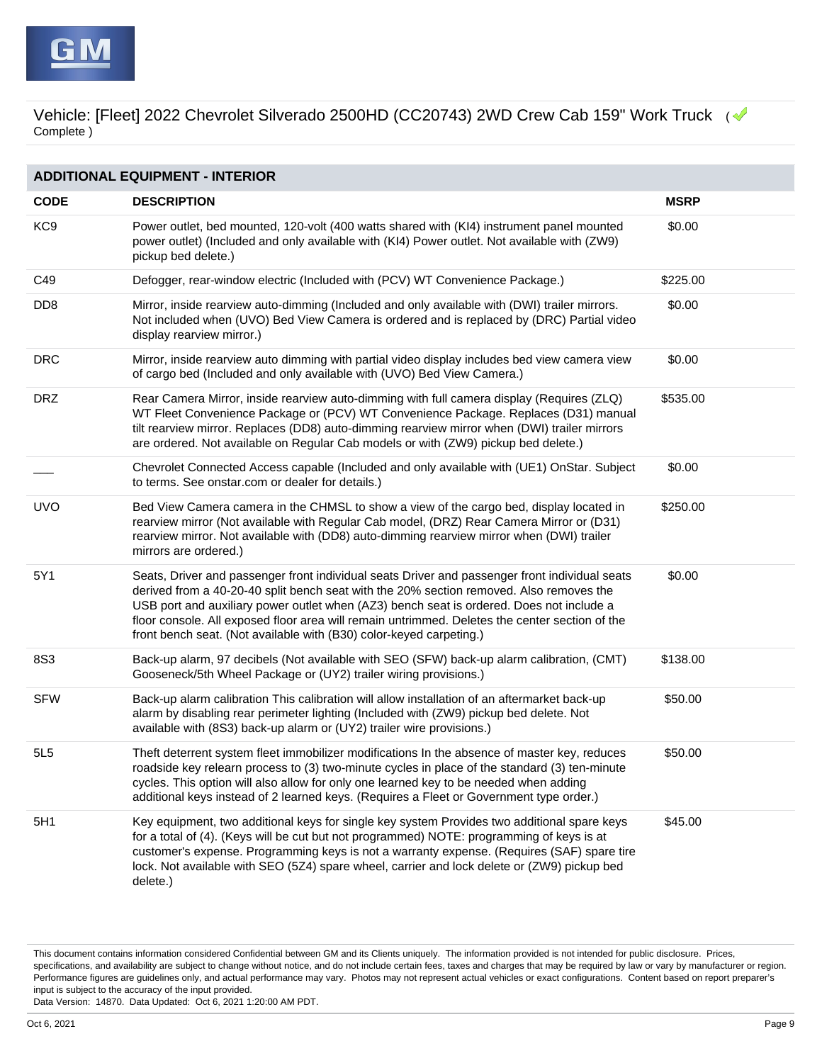| <b>ADDITIONAL EQUIPMENT - INTERIOR</b> |                                                                                                                                                                                                                                                                                                                                                                                                                                                                |             |  |
|----------------------------------------|----------------------------------------------------------------------------------------------------------------------------------------------------------------------------------------------------------------------------------------------------------------------------------------------------------------------------------------------------------------------------------------------------------------------------------------------------------------|-------------|--|
| <b>CODE</b>                            | <b>DESCRIPTION</b>                                                                                                                                                                                                                                                                                                                                                                                                                                             | <b>MSRP</b> |  |
| KC <sub>9</sub>                        | Power outlet, bed mounted, 120-volt (400 watts shared with (KI4) instrument panel mounted<br>power outlet) (Included and only available with (KI4) Power outlet. Not available with (ZW9)<br>pickup bed delete.)                                                                                                                                                                                                                                               | \$0.00      |  |
| C49                                    | Defogger, rear-window electric (Included with (PCV) WT Convenience Package.)                                                                                                                                                                                                                                                                                                                                                                                   | \$225.00    |  |
| D <sub>D</sub> <sub>8</sub>            | Mirror, inside rearview auto-dimming (Included and only available with (DWI) trailer mirrors.<br>Not included when (UVO) Bed View Camera is ordered and is replaced by (DRC) Partial video<br>display rearview mirror.)                                                                                                                                                                                                                                        | \$0.00      |  |
| <b>DRC</b>                             | Mirror, inside rearview auto dimming with partial video display includes bed view camera view<br>of cargo bed (Included and only available with (UVO) Bed View Camera.)                                                                                                                                                                                                                                                                                        | \$0.00      |  |
| <b>DRZ</b>                             | Rear Camera Mirror, inside rearview auto-dimming with full camera display (Requires (ZLQ)<br>WT Fleet Convenience Package or (PCV) WT Convenience Package. Replaces (D31) manual<br>tilt rearview mirror. Replaces (DD8) auto-dimming rearview mirror when (DWI) trailer mirrors<br>are ordered. Not available on Regular Cab models or with (ZW9) pickup bed delete.)                                                                                         | \$535.00    |  |
|                                        | Chevrolet Connected Access capable (Included and only available with (UE1) OnStar. Subject<br>to terms. See onstar.com or dealer for details.)                                                                                                                                                                                                                                                                                                                 | \$0.00      |  |
| <b>UVO</b>                             | Bed View Camera camera in the CHMSL to show a view of the cargo bed, display located in<br>rearview mirror (Not available with Regular Cab model, (DRZ) Rear Camera Mirror or (D31)<br>rearview mirror. Not available with (DD8) auto-dimming rearview mirror when (DWI) trailer<br>mirrors are ordered.)                                                                                                                                                      | \$250.00    |  |
| 5Y1                                    | Seats, Driver and passenger front individual seats Driver and passenger front individual seats<br>derived from a 40-20-40 split bench seat with the 20% section removed. Also removes the<br>USB port and auxiliary power outlet when (AZ3) bench seat is ordered. Does not include a<br>floor console. All exposed floor area will remain untrimmed. Deletes the center section of the<br>front bench seat. (Not available with (B30) color-keyed carpeting.) | \$0.00      |  |
| 8S3                                    | Back-up alarm, 97 decibels (Not available with SEO (SFW) back-up alarm calibration, (CMT)<br>Gooseneck/5th Wheel Package or (UY2) trailer wiring provisions.)                                                                                                                                                                                                                                                                                                  | \$138.00    |  |
| <b>SFW</b>                             | Back-up alarm calibration This calibration will allow installation of an aftermarket back-up<br>alarm by disabling rear perimeter lighting (Included with (ZW9) pickup bed delete. Not<br>available with (8S3) back-up alarm or (UY2) trailer wire provisions.)                                                                                                                                                                                                | \$50.00     |  |
| 5L5                                    | Theft deterrent system fleet immobilizer modifications In the absence of master key, reduces<br>roadside key relearn process to (3) two-minute cycles in place of the standard (3) ten-minute<br>cycles. This option will also allow for only one learned key to be needed when adding<br>additional keys instead of 2 learned keys. (Requires a Fleet or Government type order.)                                                                              | \$50.00     |  |
| 5H1                                    | Key equipment, two additional keys for single key system Provides two additional spare keys<br>for a total of (4). (Keys will be cut but not programmed) NOTE: programming of keys is at<br>customer's expense. Programming keys is not a warranty expense. (Requires (SAF) spare tire<br>lock. Not available with SEO (5Z4) spare wheel, carrier and lock delete or (ZW9) pickup bed<br>delete.)                                                              | \$45.00     |  |

This document contains information considered Confidential between GM and its Clients uniquely. The information provided is not intended for public disclosure. Prices, specifications, and availability are subject to change without notice, and do not include certain fees, taxes and charges that may be required by law or vary by manufacturer or region. Performance figures are guidelines only, and actual performance may vary. Photos may not represent actual vehicles or exact configurations. Content based on report preparer's input is subject to the accuracy of the input provided.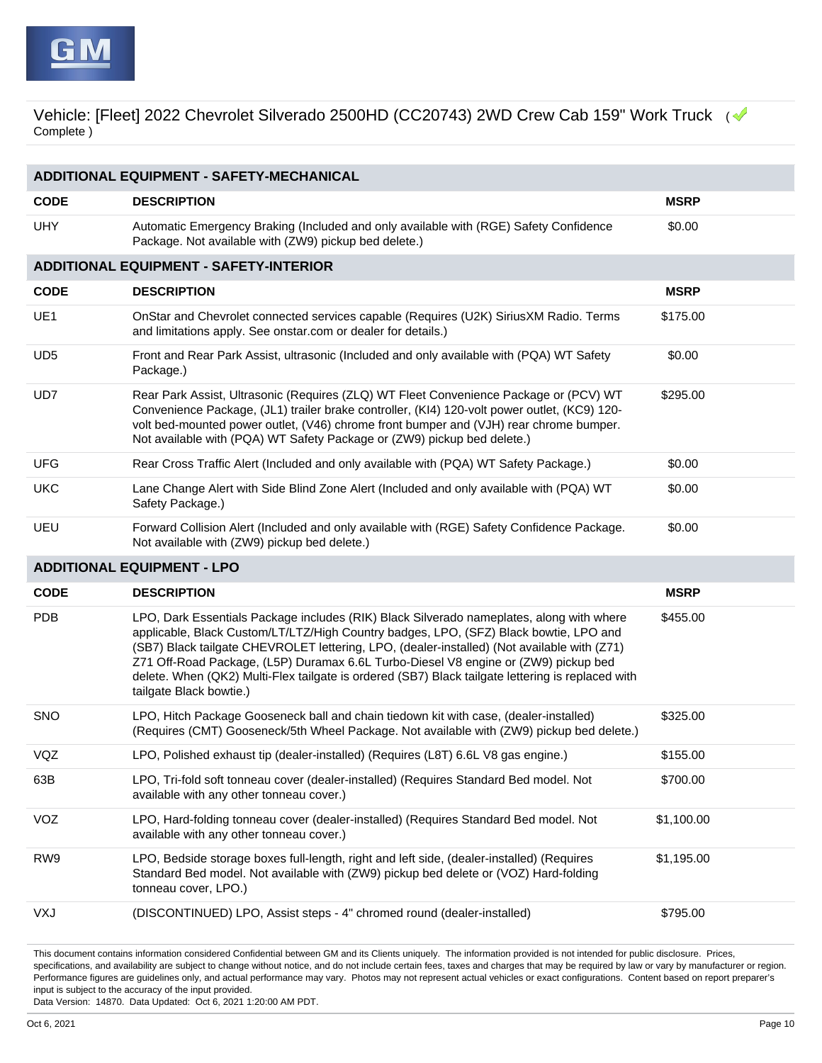| <b>ADDITIONAL EQUIPMENT - SAFETY-MECHANICAL</b> |                                                                                                                                                                                                                                                                                                                                                                                                                                                                                                         |             |  |  |
|-------------------------------------------------|---------------------------------------------------------------------------------------------------------------------------------------------------------------------------------------------------------------------------------------------------------------------------------------------------------------------------------------------------------------------------------------------------------------------------------------------------------------------------------------------------------|-------------|--|--|
| <b>CODE</b>                                     | <b>DESCRIPTION</b>                                                                                                                                                                                                                                                                                                                                                                                                                                                                                      | <b>MSRP</b> |  |  |
| <b>UHY</b>                                      | Automatic Emergency Braking (Included and only available with (RGE) Safety Confidence<br>Package. Not available with (ZW9) pickup bed delete.)                                                                                                                                                                                                                                                                                                                                                          | \$0.00      |  |  |
|                                                 | <b>ADDITIONAL EQUIPMENT - SAFETY-INTERIOR</b>                                                                                                                                                                                                                                                                                                                                                                                                                                                           |             |  |  |
| <b>CODE</b>                                     | <b>DESCRIPTION</b>                                                                                                                                                                                                                                                                                                                                                                                                                                                                                      | <b>MSRP</b> |  |  |
| UE1                                             | OnStar and Chevrolet connected services capable (Requires (U2K) SiriusXM Radio. Terms<br>and limitations apply. See onstar.com or dealer for details.)                                                                                                                                                                                                                                                                                                                                                  | \$175.00    |  |  |
| UD <sub>5</sub>                                 | Front and Rear Park Assist, ultrasonic (Included and only available with (PQA) WT Safety<br>Package.)                                                                                                                                                                                                                                                                                                                                                                                                   | \$0.00      |  |  |
| UD7                                             | Rear Park Assist, Ultrasonic (Requires (ZLQ) WT Fleet Convenience Package or (PCV) WT<br>Convenience Package, (JL1) trailer brake controller, (KI4) 120-volt power outlet, (KC9) 120-<br>volt bed-mounted power outlet, (V46) chrome front bumper and (VJH) rear chrome bumper.<br>Not available with (PQA) WT Safety Package or (ZW9) pickup bed delete.)                                                                                                                                              | \$295.00    |  |  |
| <b>UFG</b>                                      | Rear Cross Traffic Alert (Included and only available with (PQA) WT Safety Package.)                                                                                                                                                                                                                                                                                                                                                                                                                    | \$0.00      |  |  |
| <b>UKC</b>                                      | Lane Change Alert with Side Blind Zone Alert (Included and only available with (PQA) WT<br>Safety Package.)                                                                                                                                                                                                                                                                                                                                                                                             | \$0.00      |  |  |
| UEU                                             | Forward Collision Alert (Included and only available with (RGE) Safety Confidence Package.<br>Not available with (ZW9) pickup bed delete.)                                                                                                                                                                                                                                                                                                                                                              | \$0.00      |  |  |
| <b>ADDITIONAL EQUIPMENT - LPO</b>               |                                                                                                                                                                                                                                                                                                                                                                                                                                                                                                         |             |  |  |
|                                                 |                                                                                                                                                                                                                                                                                                                                                                                                                                                                                                         |             |  |  |
| <b>CODE</b>                                     | <b>DESCRIPTION</b>                                                                                                                                                                                                                                                                                                                                                                                                                                                                                      | <b>MSRP</b> |  |  |
| <b>PDB</b>                                      | LPO, Dark Essentials Package includes (RIK) Black Silverado nameplates, along with where<br>applicable, Black Custom/LT/LTZ/High Country badges, LPO, (SFZ) Black bowtie, LPO and<br>(SB7) Black tailgate CHEVROLET lettering, LPO, (dealer-installed) (Not available with (Z71)<br>Z71 Off-Road Package, (L5P) Duramax 6.6L Turbo-Diesel V8 engine or (ZW9) pickup bed<br>delete. When (QK2) Multi-Flex tailgate is ordered (SB7) Black tailgate lettering is replaced with<br>tailgate Black bowtie.) | \$455.00    |  |  |
| <b>SNO</b>                                      | LPO, Hitch Package Gooseneck ball and chain tiedown kit with case, (dealer-installed)<br>(Requires (CMT) Gooseneck/5th Wheel Package. Not available with (ZW9) pickup bed delete.)                                                                                                                                                                                                                                                                                                                      | \$325.00    |  |  |
| VQZ                                             | LPO, Polished exhaust tip (dealer-installed) (Requires (L8T) 6.6L V8 gas engine.)                                                                                                                                                                                                                                                                                                                                                                                                                       | \$155.00    |  |  |
| 63B                                             | LPO, Tri-fold soft tonneau cover (dealer-installed) (Requires Standard Bed model. Not<br>available with any other tonneau cover.)                                                                                                                                                                                                                                                                                                                                                                       | \$700.00    |  |  |
| VOZ                                             | LPO, Hard-folding tonneau cover (dealer-installed) (Requires Standard Bed model. Not<br>available with any other tonneau cover.)                                                                                                                                                                                                                                                                                                                                                                        | \$1,100.00  |  |  |
| RW9                                             | LPO, Bedside storage boxes full-length, right and left side, (dealer-installed) (Requires<br>Standard Bed model. Not available with (ZW9) pickup bed delete or (VOZ) Hard-folding<br>tonneau cover, LPO.)                                                                                                                                                                                                                                                                                               | \$1,195.00  |  |  |

This document contains information considered Confidential between GM and its Clients uniquely. The information provided is not intended for public disclosure. Prices, specifications, and availability are subject to change without notice, and do not include certain fees, taxes and charges that may be required by law or vary by manufacturer or region. Performance figures are guidelines only, and actual performance may vary. Photos may not represent actual vehicles or exact configurations. Content based on report preparer's input is subject to the accuracy of the input provided.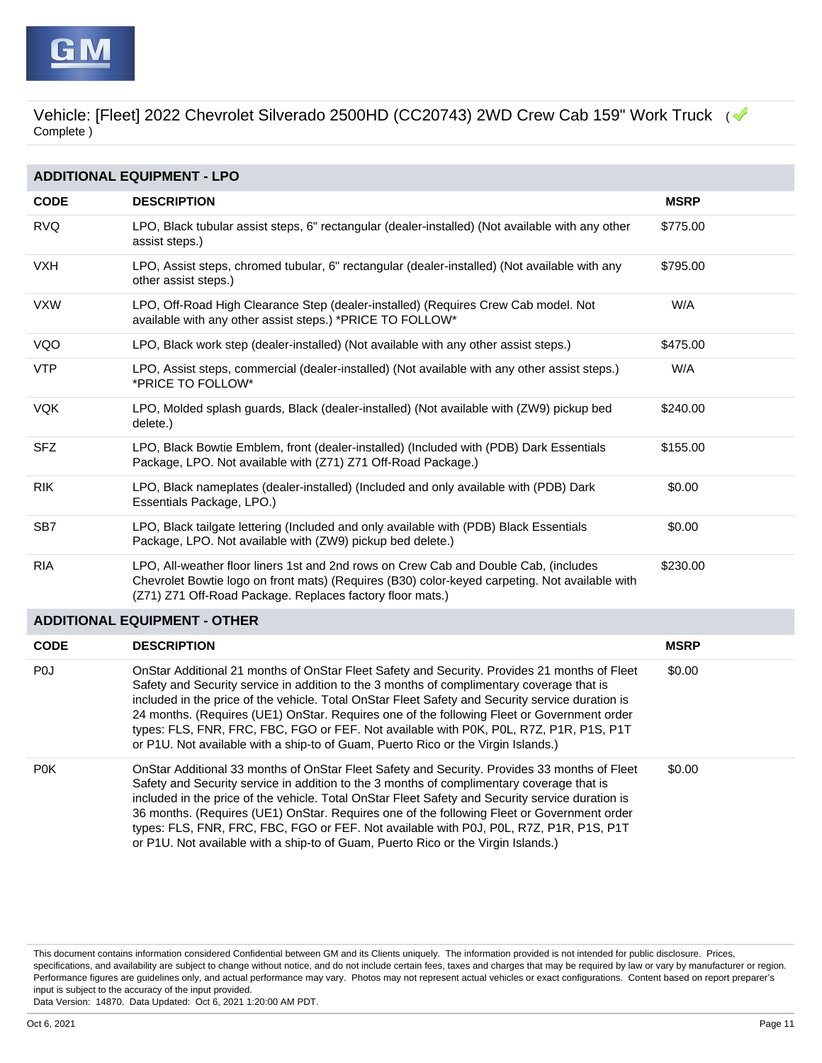| <b>ADDITIONAL EQUIPMENT - LPO</b> |                                                                                                                                                                                                                                                                                                                                                                                                                                                                                                                                                                            |             |  |  |
|-----------------------------------|----------------------------------------------------------------------------------------------------------------------------------------------------------------------------------------------------------------------------------------------------------------------------------------------------------------------------------------------------------------------------------------------------------------------------------------------------------------------------------------------------------------------------------------------------------------------------|-------------|--|--|
| <b>CODE</b>                       | <b>DESCRIPTION</b>                                                                                                                                                                                                                                                                                                                                                                                                                                                                                                                                                         | <b>MSRP</b> |  |  |
| <b>RVQ</b>                        | LPO, Black tubular assist steps, 6" rectangular (dealer-installed) (Not available with any other<br>assist steps.)                                                                                                                                                                                                                                                                                                                                                                                                                                                         | \$775.00    |  |  |
| <b>VXH</b>                        | LPO, Assist steps, chromed tubular, 6" rectangular (dealer-installed) (Not available with any<br>other assist steps.)                                                                                                                                                                                                                                                                                                                                                                                                                                                      | \$795.00    |  |  |
| <b>VXW</b>                        | LPO, Off-Road High Clearance Step (dealer-installed) (Requires Crew Cab model. Not<br>available with any other assist steps.) *PRICE TO FOLLOW*                                                                                                                                                                                                                                                                                                                                                                                                                            | W/A         |  |  |
| VQO                               | LPO, Black work step (dealer-installed) (Not available with any other assist steps.)                                                                                                                                                                                                                                                                                                                                                                                                                                                                                       | \$475.00    |  |  |
| <b>VTP</b>                        | LPO, Assist steps, commercial (dealer-installed) (Not available with any other assist steps.)<br>*PRICE TO FOLLOW*                                                                                                                                                                                                                                                                                                                                                                                                                                                         | W/A         |  |  |
| <b>VQK</b>                        | LPO, Molded splash guards, Black (dealer-installed) (Not available with (ZW9) pickup bed<br>delete.)                                                                                                                                                                                                                                                                                                                                                                                                                                                                       | \$240.00    |  |  |
| <b>SFZ</b>                        | LPO, Black Bowtie Emblem, front (dealer-installed) (Included with (PDB) Dark Essentials<br>Package, LPO. Not available with (Z71) Z71 Off-Road Package.)                                                                                                                                                                                                                                                                                                                                                                                                                   | \$155.00    |  |  |
| <b>RIK</b>                        | LPO, Black nameplates (dealer-installed) (Included and only available with (PDB) Dark<br>Essentials Package, LPO.)                                                                                                                                                                                                                                                                                                                                                                                                                                                         | \$0.00      |  |  |
| SB7                               | LPO, Black tailgate lettering (Included and only available with (PDB) Black Essentials<br>Package, LPO. Not available with (ZW9) pickup bed delete.)                                                                                                                                                                                                                                                                                                                                                                                                                       | \$0.00      |  |  |
| <b>RIA</b>                        | LPO, All-weather floor liners 1st and 2nd rows on Crew Cab and Double Cab, (includes<br>Chevrolet Bowtie logo on front mats) (Requires (B30) color-keyed carpeting. Not available with<br>(Z71) Z71 Off-Road Package. Replaces factory floor mats.)                                                                                                                                                                                                                                                                                                                        | \$230.00    |  |  |
|                                   | <b>ADDITIONAL EQUIPMENT - OTHER</b>                                                                                                                                                                                                                                                                                                                                                                                                                                                                                                                                        |             |  |  |
| <b>CODE</b>                       | <b>DESCRIPTION</b>                                                                                                                                                                                                                                                                                                                                                                                                                                                                                                                                                         | <b>MSRP</b> |  |  |
| P <sub>0</sub>                    | OnStar Additional 21 months of OnStar Fleet Safety and Security. Provides 21 months of Fleet<br>Safety and Security service in addition to the 3 months of complimentary coverage that is<br>included in the price of the vehicle. Total OnStar Fleet Safety and Security service duration is<br>24 months. (Requires (UE1) OnStar. Requires one of the following Fleet or Government order<br>types: FLS, FNR, FRC, FBC, FGO or FEF. Not available with P0K, P0L, R7Z, P1R, P1S, P1T<br>or P1U. Not available with a ship-to of Guam, Puerto Rico or the Virgin Islands.) | \$0.00      |  |  |
| <b>P0K</b>                        | OnStar Additional 33 months of OnStar Fleet Safety and Security. Provides 33 months of Fleet<br>Safety and Security service in addition to the 3 months of complimentary coverage that is<br>included in the price of the vehicle. Total OnStar Fleet Safety and Security service duration is<br>36 months. (Requires (UE1) OnStar. Requires one of the following Fleet or Government order<br>types: FLS, FNR, FRC, FBC, FGO or FEF. Not available with P0J, P0L, R7Z, P1R, P1S, P1T<br>or P1U. Not available with a ship-to of Guam, Puerto Rico or the Virgin Islands.) | \$0.00      |  |  |

This document contains information considered Confidential between GM and its Clients uniquely. The information provided is not intended for public disclosure. Prices, specifications, and availability are subject to change without notice, and do not include certain fees, taxes and charges that may be required by law or vary by manufacturer or region. Performance figures are guidelines only, and actual performance may vary. Photos may not represent actual vehicles or exact configurations. Content based on report preparer's input is subject to the accuracy of the input provided.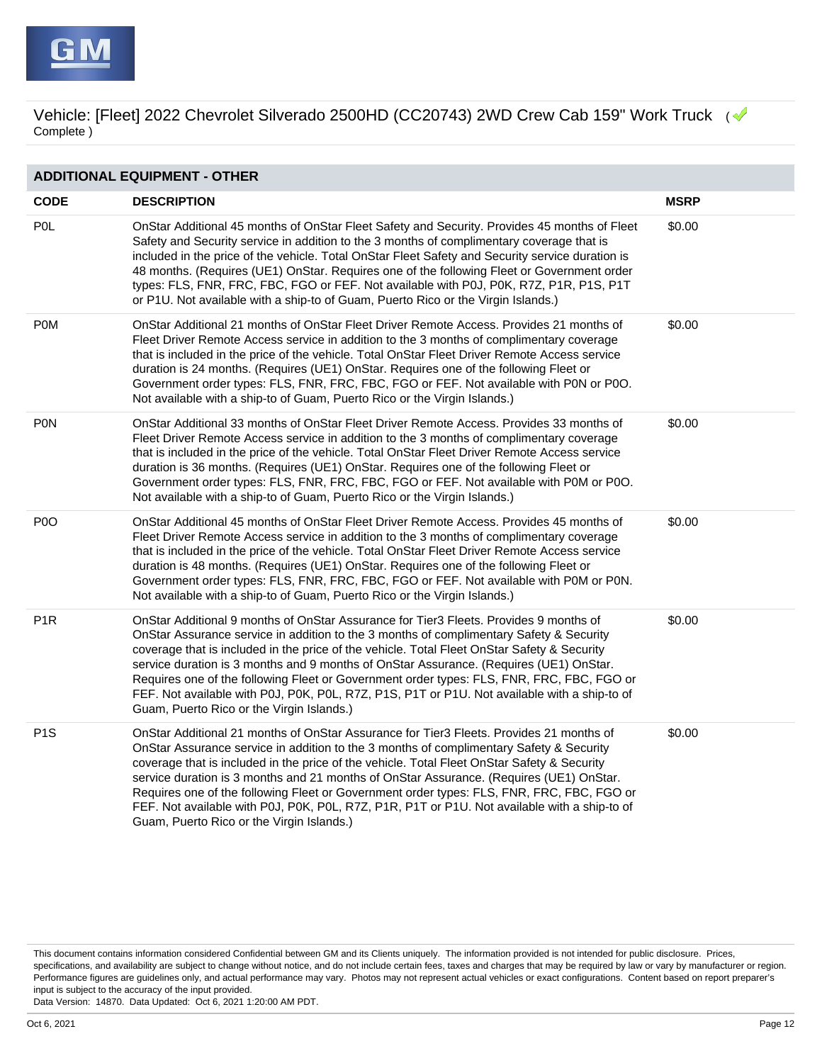

| <b>ADDITIONAL EQUIPMENT - OTHER</b> |                                                                                                                                                                                                                                                                                                                                                                                                                                                                                                                                                                                                                        |             |  |
|-------------------------------------|------------------------------------------------------------------------------------------------------------------------------------------------------------------------------------------------------------------------------------------------------------------------------------------------------------------------------------------------------------------------------------------------------------------------------------------------------------------------------------------------------------------------------------------------------------------------------------------------------------------------|-------------|--|
| <b>CODE</b>                         | <b>DESCRIPTION</b>                                                                                                                                                                                                                                                                                                                                                                                                                                                                                                                                                                                                     | <b>MSRP</b> |  |
| <b>POL</b>                          | OnStar Additional 45 months of OnStar Fleet Safety and Security. Provides 45 months of Fleet<br>Safety and Security service in addition to the 3 months of complimentary coverage that is<br>included in the price of the vehicle. Total OnStar Fleet Safety and Security service duration is<br>48 months. (Requires (UE1) OnStar. Requires one of the following Fleet or Government order<br>types: FLS, FNR, FRC, FBC, FGO or FEF. Not available with P0J, P0K, R7Z, P1R, P1S, P1T<br>or P1U. Not available with a ship-to of Guam, Puerto Rico or the Virgin Islands.)                                             | \$0.00      |  |
| <b>POM</b>                          | OnStar Additional 21 months of OnStar Fleet Driver Remote Access. Provides 21 months of<br>Fleet Driver Remote Access service in addition to the 3 months of complimentary coverage<br>that is included in the price of the vehicle. Total OnStar Fleet Driver Remote Access service<br>duration is 24 months. (Requires (UE1) OnStar. Requires one of the following Fleet or<br>Government order types: FLS, FNR, FRC, FBC, FGO or FEF. Not available with P0N or P0O.<br>Not available with a ship-to of Guam, Puerto Rico or the Virgin Islands.)                                                                   | \$0.00      |  |
| PON                                 | OnStar Additional 33 months of OnStar Fleet Driver Remote Access. Provides 33 months of<br>Fleet Driver Remote Access service in addition to the 3 months of complimentary coverage<br>that is included in the price of the vehicle. Total OnStar Fleet Driver Remote Access service<br>duration is 36 months. (Requires (UE1) OnStar. Requires one of the following Fleet or<br>Government order types: FLS, FNR, FRC, FBC, FGO or FEF. Not available with P0M or P0O.<br>Not available with a ship-to of Guam, Puerto Rico or the Virgin Islands.)                                                                   | \$0.00      |  |
| P <sub>0</sub>                      | OnStar Additional 45 months of OnStar Fleet Driver Remote Access. Provides 45 months of<br>Fleet Driver Remote Access service in addition to the 3 months of complimentary coverage<br>that is included in the price of the vehicle. Total OnStar Fleet Driver Remote Access service<br>duration is 48 months. (Requires (UE1) OnStar. Requires one of the following Fleet or<br>Government order types: FLS, FNR, FRC, FBC, FGO or FEF. Not available with P0M or P0N.<br>Not available with a ship-to of Guam, Puerto Rico or the Virgin Islands.)                                                                   | \$0.00      |  |
| P <sub>1</sub> R                    | OnStar Additional 9 months of OnStar Assurance for Tier3 Fleets. Provides 9 months of<br>OnStar Assurance service in addition to the 3 months of complimentary Safety & Security<br>coverage that is included in the price of the vehicle. Total Fleet OnStar Safety & Security<br>service duration is 3 months and 9 months of OnStar Assurance. (Requires (UE1) OnStar.<br>Requires one of the following Fleet or Government order types: FLS, FNR, FRC, FBC, FGO or<br>FEF. Not available with P0J, P0K, P0L, R7Z, P1S, P1T or P1U. Not available with a ship-to of<br>Guam, Puerto Rico or the Virgin Islands.)    | \$0.00      |  |
| P <sub>1</sub> S                    | OnStar Additional 21 months of OnStar Assurance for Tier3 Fleets. Provides 21 months of<br>OnStar Assurance service in addition to the 3 months of complimentary Safety & Security<br>coverage that is included in the price of the vehicle. Total Fleet OnStar Safety & Security<br>service duration is 3 months and 21 months of OnStar Assurance. (Requires (UE1) OnStar.<br>Requires one of the following Fleet or Government order types: FLS, FNR, FRC, FBC, FGO or<br>FEF. Not available with P0J, P0K, P0L, R7Z, P1R, P1T or P1U. Not available with a ship-to of<br>Guam, Puerto Rico or the Virgin Islands.) | \$0.00      |  |

This document contains information considered Confidential between GM and its Clients uniquely. The information provided is not intended for public disclosure. Prices, specifications, and availability are subject to change without notice, and do not include certain fees, taxes and charges that may be required by law or vary by manufacturer or region. Performance figures are guidelines only, and actual performance may vary. Photos may not represent actual vehicles or exact configurations. Content based on report preparer's input is subject to the accuracy of the input provided.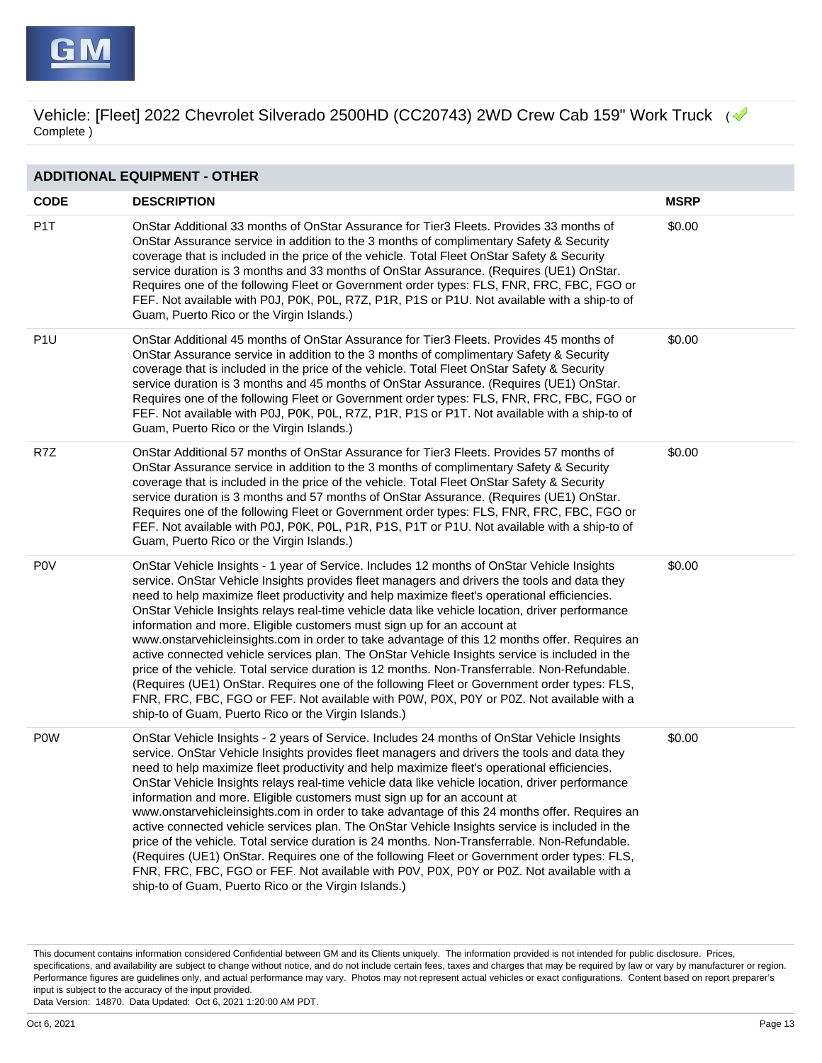

| <b>ADDITIONAL EQUIPMENT - OTHER</b> |                                                                                                                                                                                                                                                                                                                                                                                                                                                                                                                                                                                                                                                                                                                                                                                                                                                                                                                                                                                                                                  |             |  |  |
|-------------------------------------|----------------------------------------------------------------------------------------------------------------------------------------------------------------------------------------------------------------------------------------------------------------------------------------------------------------------------------------------------------------------------------------------------------------------------------------------------------------------------------------------------------------------------------------------------------------------------------------------------------------------------------------------------------------------------------------------------------------------------------------------------------------------------------------------------------------------------------------------------------------------------------------------------------------------------------------------------------------------------------------------------------------------------------|-------------|--|--|
| <b>CODE</b>                         | <b>DESCRIPTION</b>                                                                                                                                                                                                                                                                                                                                                                                                                                                                                                                                                                                                                                                                                                                                                                                                                                                                                                                                                                                                               | <b>MSRP</b> |  |  |
| P <sub>1</sub> T                    | OnStar Additional 33 months of OnStar Assurance for Tier3 Fleets. Provides 33 months of<br>OnStar Assurance service in addition to the 3 months of complimentary Safety & Security<br>coverage that is included in the price of the vehicle. Total Fleet OnStar Safety & Security<br>service duration is 3 months and 33 months of OnStar Assurance. (Requires (UE1) OnStar.<br>Requires one of the following Fleet or Government order types: FLS, FNR, FRC, FBC, FGO or<br>FEF. Not available with P0J, P0K, P0L, R7Z, P1R, P1S or P1U. Not available with a ship-to of<br>Guam, Puerto Rico or the Virgin Islands.)                                                                                                                                                                                                                                                                                                                                                                                                           | \$0.00      |  |  |
| P <sub>1U</sub>                     | OnStar Additional 45 months of OnStar Assurance for Tier3 Fleets. Provides 45 months of<br>OnStar Assurance service in addition to the 3 months of complimentary Safety & Security<br>coverage that is included in the price of the vehicle. Total Fleet OnStar Safety & Security<br>service duration is 3 months and 45 months of OnStar Assurance. (Requires (UE1) OnStar.<br>Requires one of the following Fleet or Government order types: FLS, FNR, FRC, FBC, FGO or<br>FEF. Not available with P0J, P0K, P0L, R7Z, P1R, P1S or P1T. Not available with a ship-to of<br>Guam, Puerto Rico or the Virgin Islands.)                                                                                                                                                                                                                                                                                                                                                                                                           | \$0.00      |  |  |
| R7Z                                 | OnStar Additional 57 months of OnStar Assurance for Tier3 Fleets. Provides 57 months of<br>OnStar Assurance service in addition to the 3 months of complimentary Safety & Security<br>coverage that is included in the price of the vehicle. Total Fleet OnStar Safety & Security<br>service duration is 3 months and 57 months of OnStar Assurance. (Requires (UE1) OnStar.<br>Requires one of the following Fleet or Government order types: FLS, FNR, FRC, FBC, FGO or<br>FEF. Not available with P0J, P0K, P0L, P1R, P1S, P1T or P1U. Not available with a ship-to of<br>Guam, Puerto Rico or the Virgin Islands.)                                                                                                                                                                                                                                                                                                                                                                                                           | \$0.00      |  |  |
| <b>POV</b>                          | OnStar Vehicle Insights - 1 year of Service. Includes 12 months of OnStar Vehicle Insights<br>service. OnStar Vehicle Insights provides fleet managers and drivers the tools and data they<br>need to help maximize fleet productivity and help maximize fleet's operational efficiencies.<br>OnStar Vehicle Insights relays real-time vehicle data like vehicle location, driver performance<br>information and more. Eligible customers must sign up for an account at<br>www.onstarvehicleinsights.com in order to take advantage of this 12 months offer. Requires an<br>active connected vehicle services plan. The OnStar Vehicle Insights service is included in the<br>price of the vehicle. Total service duration is 12 months. Non-Transferrable. Non-Refundable.<br>(Requires (UE1) OnStar. Requires one of the following Fleet or Government order types: FLS,<br>FNR, FRC, FBC, FGO or FEF. Not available with P0W, P0X, P0Y or P0Z. Not available with a<br>ship-to of Guam, Puerto Rico or the Virgin Islands.)  | \$0.00      |  |  |
| <b>POW</b>                          | OnStar Vehicle Insights - 2 years of Service. Includes 24 months of OnStar Vehicle Insights<br>service. OnStar Vehicle Insights provides fleet managers and drivers the tools and data they<br>need to help maximize fleet productivity and help maximize fleet's operational efficiencies.<br>OnStar Vehicle Insights relays real-time vehicle data like vehicle location, driver performance<br>information and more. Eligible customers must sign up for an account at<br>www.onstarvehicleinsights.com in order to take advantage of this 24 months offer. Requires an<br>active connected vehicle services plan. The OnStar Vehicle Insights service is included in the<br>price of the vehicle. Total service duration is 24 months. Non-Transferrable. Non-Refundable.<br>(Requires (UE1) OnStar. Requires one of the following Fleet or Government order types: FLS,<br>FNR, FRC, FBC, FGO or FEF. Not available with P0V, P0X, P0Y or P0Z. Not available with a<br>ship-to of Guam, Puerto Rico or the Virgin Islands.) | \$0.00      |  |  |

This document contains information considered Confidential between GM and its Clients uniquely. The information provided is not intended for public disclosure. Prices, specifications, and availability are subject to change without notice, and do not include certain fees, taxes and charges that may be required by law or vary by manufacturer or region. Performance figures are guidelines only, and actual performance may vary. Photos may not represent actual vehicles or exact configurations. Content based on report preparer's input is subject to the accuracy of the input provided.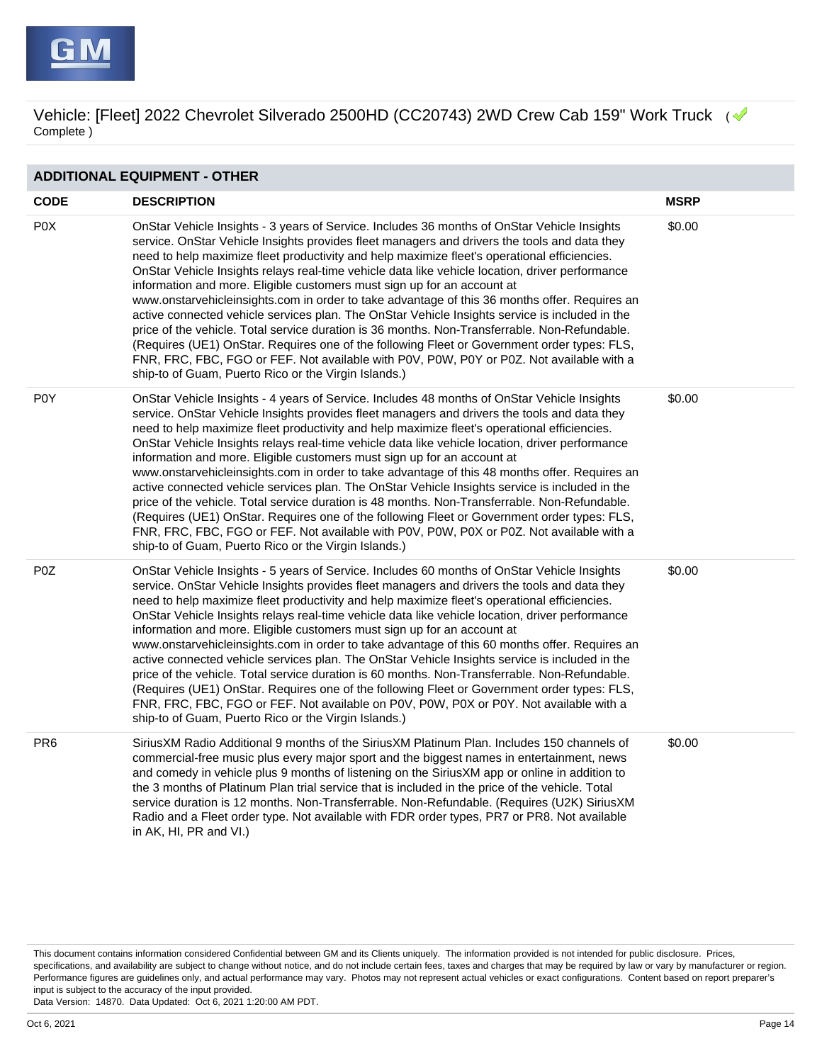

| <b>ADDITIONAL EQUIPMENT - OTHER</b> |                                                                                                                                                                                                                                                                                                                                                                                                                                                                                                                                                                                                                                                                                                                                                                                                                                                                                                                                                                                                                                  |             |  |  |
|-------------------------------------|----------------------------------------------------------------------------------------------------------------------------------------------------------------------------------------------------------------------------------------------------------------------------------------------------------------------------------------------------------------------------------------------------------------------------------------------------------------------------------------------------------------------------------------------------------------------------------------------------------------------------------------------------------------------------------------------------------------------------------------------------------------------------------------------------------------------------------------------------------------------------------------------------------------------------------------------------------------------------------------------------------------------------------|-------------|--|--|
| <b>CODE</b>                         | <b>DESCRIPTION</b>                                                                                                                                                                                                                                                                                                                                                                                                                                                                                                                                                                                                                                                                                                                                                                                                                                                                                                                                                                                                               | <b>MSRP</b> |  |  |
| P <sub>0</sub> X                    | OnStar Vehicle Insights - 3 years of Service. Includes 36 months of OnStar Vehicle Insights<br>service. OnStar Vehicle Insights provides fleet managers and drivers the tools and data they<br>need to help maximize fleet productivity and help maximize fleet's operational efficiencies.<br>OnStar Vehicle Insights relays real-time vehicle data like vehicle location, driver performance<br>information and more. Eligible customers must sign up for an account at<br>www.onstarvehicleinsights.com in order to take advantage of this 36 months offer. Requires an<br>active connected vehicle services plan. The OnStar Vehicle Insights service is included in the<br>price of the vehicle. Total service duration is 36 months. Non-Transferrable. Non-Refundable.<br>(Requires (UE1) OnStar. Requires one of the following Fleet or Government order types: FLS,<br>FNR, FRC, FBC, FGO or FEF. Not available with P0V, P0W, P0Y or P0Z. Not available with a<br>ship-to of Guam, Puerto Rico or the Virgin Islands.) | \$0.00      |  |  |
| P <sub>0</sub> Y                    | OnStar Vehicle Insights - 4 years of Service. Includes 48 months of OnStar Vehicle Insights<br>service. OnStar Vehicle Insights provides fleet managers and drivers the tools and data they<br>need to help maximize fleet productivity and help maximize fleet's operational efficiencies.<br>OnStar Vehicle Insights relays real-time vehicle data like vehicle location, driver performance<br>information and more. Eligible customers must sign up for an account at<br>www.onstarvehicleinsights.com in order to take advantage of this 48 months offer. Requires an<br>active connected vehicle services plan. The OnStar Vehicle Insights service is included in the<br>price of the vehicle. Total service duration is 48 months. Non-Transferrable. Non-Refundable.<br>(Requires (UE1) OnStar. Requires one of the following Fleet or Government order types: FLS,<br>FNR, FRC, FBC, FGO or FEF. Not available with P0V, P0W, P0X or P0Z. Not available with a<br>ship-to of Guam, Puerto Rico or the Virgin Islands.) | \$0.00      |  |  |
| P <sub>0</sub> Z                    | OnStar Vehicle Insights - 5 years of Service. Includes 60 months of OnStar Vehicle Insights<br>service. OnStar Vehicle Insights provides fleet managers and drivers the tools and data they<br>need to help maximize fleet productivity and help maximize fleet's operational efficiencies.<br>OnStar Vehicle Insights relays real-time vehicle data like vehicle location, driver performance<br>information and more. Eligible customers must sign up for an account at<br>www.onstarvehicleinsights.com in order to take advantage of this 60 months offer. Requires an<br>active connected vehicle services plan. The OnStar Vehicle Insights service is included in the<br>price of the vehicle. Total service duration is 60 months. Non-Transferrable. Non-Refundable.<br>(Requires (UE1) OnStar. Requires one of the following Fleet or Government order types: FLS,<br>FNR, FRC, FBC, FGO or FEF. Not available on P0V, P0W, P0X or P0Y. Not available with a<br>ship-to of Guam, Puerto Rico or the Virgin Islands.)   | \$0.00      |  |  |
| PR <sub>6</sub>                     | SiriusXM Radio Additional 9 months of the SiriusXM Platinum Plan. Includes 150 channels of<br>commercial-free music plus every major sport and the biggest names in entertainment, news<br>and comedy in vehicle plus 9 months of listening on the Sirius XM app or online in addition to<br>the 3 months of Platinum Plan trial service that is included in the price of the vehicle. Total<br>service duration is 12 months. Non-Transferrable. Non-Refundable. (Requires (U2K) SiriusXM<br>Radio and a Fleet order type. Not available with FDR order types, PR7 or PR8. Not available<br>in AK, HI, PR and VI.)                                                                                                                                                                                                                                                                                                                                                                                                              | \$0.00      |  |  |

This document contains information considered Confidential between GM and its Clients uniquely. The information provided is not intended for public disclosure. Prices, specifications, and availability are subject to change without notice, and do not include certain fees, taxes and charges that may be required by law or vary by manufacturer or region. Performance figures are guidelines only, and actual performance may vary. Photos may not represent actual vehicles or exact configurations. Content based on report preparer's input is subject to the accuracy of the input provided.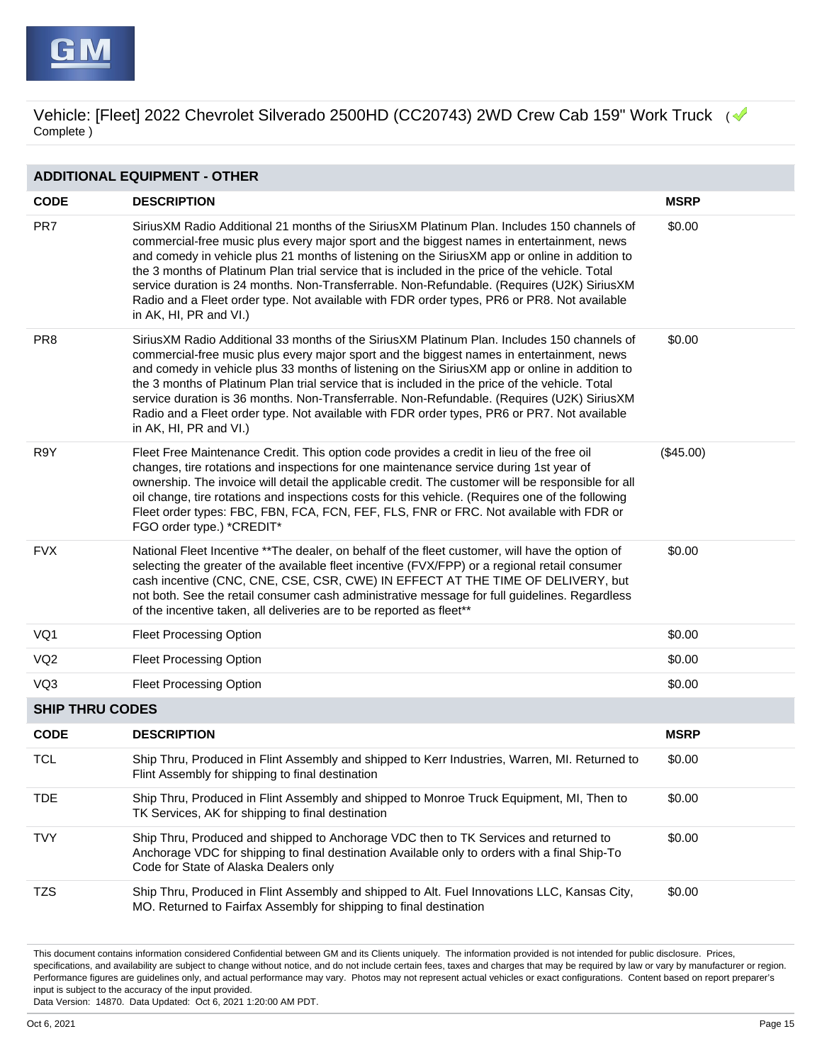| <b>ADDITIONAL EQUIPMENT - OTHER</b> |                                                                                                                                                                                                                                                                                                                                                                                                                                                                                                                                                                                                                        |             |  |  |
|-------------------------------------|------------------------------------------------------------------------------------------------------------------------------------------------------------------------------------------------------------------------------------------------------------------------------------------------------------------------------------------------------------------------------------------------------------------------------------------------------------------------------------------------------------------------------------------------------------------------------------------------------------------------|-------------|--|--|
| <b>CODE</b>                         | <b>DESCRIPTION</b>                                                                                                                                                                                                                                                                                                                                                                                                                                                                                                                                                                                                     | <b>MSRP</b> |  |  |
| PR7                                 | Sirius XM Radio Additional 21 months of the Sirius XM Platinum Plan. Includes 150 channels of<br>commercial-free music plus every major sport and the biggest names in entertainment, news<br>and comedy in vehicle plus 21 months of listening on the SiriusXM app or online in addition to<br>the 3 months of Platinum Plan trial service that is included in the price of the vehicle. Total<br>service duration is 24 months. Non-Transferrable. Non-Refundable. (Requires (U2K) SiriusXM<br>Radio and a Fleet order type. Not available with FDR order types, PR6 or PR8. Not available<br>in AK, HI, PR and VI.) | \$0.00      |  |  |
| PR <sub>8</sub>                     | SiriusXM Radio Additional 33 months of the SiriusXM Platinum Plan. Includes 150 channels of<br>commercial-free music plus every major sport and the biggest names in entertainment, news<br>and comedy in vehicle plus 33 months of listening on the SiriusXM app or online in addition to<br>the 3 months of Platinum Plan trial service that is included in the price of the vehicle. Total<br>service duration is 36 months. Non-Transferrable. Non-Refundable. (Requires (U2K) SiriusXM<br>Radio and a Fleet order type. Not available with FDR order types, PR6 or PR7. Not available<br>in AK, HI, PR and VI.)   | \$0.00      |  |  |
| R9Y                                 | Fleet Free Maintenance Credit. This option code provides a credit in lieu of the free oil<br>changes, tire rotations and inspections for one maintenance service during 1st year of<br>ownership. The invoice will detail the applicable credit. The customer will be responsible for all<br>oil change, tire rotations and inspections costs for this vehicle. (Requires one of the following<br>Fleet order types: FBC, FBN, FCA, FCN, FEF, FLS, FNR or FRC. Not available with FDR or<br>FGO order type.) *CREDIT*                                                                                                  | (\$45.00)   |  |  |
| <b>FVX</b>                          | National Fleet Incentive **The dealer, on behalf of the fleet customer, will have the option of<br>selecting the greater of the available fleet incentive (FVX/FPP) or a regional retail consumer<br>cash incentive (CNC, CNE, CSE, CSR, CWE) IN EFFECT AT THE TIME OF DELIVERY, but<br>not both. See the retail consumer cash administrative message for full guidelines. Regardless<br>of the incentive taken, all deliveries are to be reported as fleet**                                                                                                                                                          | \$0.00      |  |  |
| VQ1                                 | <b>Fleet Processing Option</b>                                                                                                                                                                                                                                                                                                                                                                                                                                                                                                                                                                                         | \$0.00      |  |  |
| VQ <sub>2</sub>                     | <b>Fleet Processing Option</b>                                                                                                                                                                                                                                                                                                                                                                                                                                                                                                                                                                                         | \$0.00      |  |  |
| VQ3                                 | <b>Fleet Processing Option</b>                                                                                                                                                                                                                                                                                                                                                                                                                                                                                                                                                                                         | \$0.00      |  |  |
| <b>SHIP THRU CODES</b>              |                                                                                                                                                                                                                                                                                                                                                                                                                                                                                                                                                                                                                        |             |  |  |
| <b>CODE</b>                         | <b>DESCRIPTION</b>                                                                                                                                                                                                                                                                                                                                                                                                                                                                                                                                                                                                     | <b>MSRP</b> |  |  |
| <b>TCL</b>                          | Ship Thru, Produced in Flint Assembly and shipped to Kerr Industries, Warren, MI. Returned to<br>Flint Assembly for shipping to final destination                                                                                                                                                                                                                                                                                                                                                                                                                                                                      | \$0.00      |  |  |
| <b>TDE</b>                          | Ship Thru, Produced in Flint Assembly and shipped to Monroe Truck Equipment, MI, Then to<br>TK Services, AK for shipping to final destination                                                                                                                                                                                                                                                                                                                                                                                                                                                                          | \$0.00      |  |  |
| <b>TVY</b>                          | Ship Thru, Produced and shipped to Anchorage VDC then to TK Services and returned to<br>Anchorage VDC for shipping to final destination Available only to orders with a final Ship-To<br>Code for State of Alaska Dealers only                                                                                                                                                                                                                                                                                                                                                                                         | \$0.00      |  |  |
| <b>TZS</b>                          | Ship Thru, Produced in Flint Assembly and shipped to Alt. Fuel Innovations LLC, Kansas City,<br>MO. Returned to Fairfax Assembly for shipping to final destination                                                                                                                                                                                                                                                                                                                                                                                                                                                     | \$0.00      |  |  |

This document contains information considered Confidential between GM and its Clients uniquely. The information provided is not intended for public disclosure. Prices, specifications, and availability are subject to change without notice, and do not include certain fees, taxes and charges that may be required by law or vary by manufacturer or region. Performance figures are guidelines only, and actual performance may vary. Photos may not represent actual vehicles or exact configurations. Content based on report preparer's input is subject to the accuracy of the input provided.